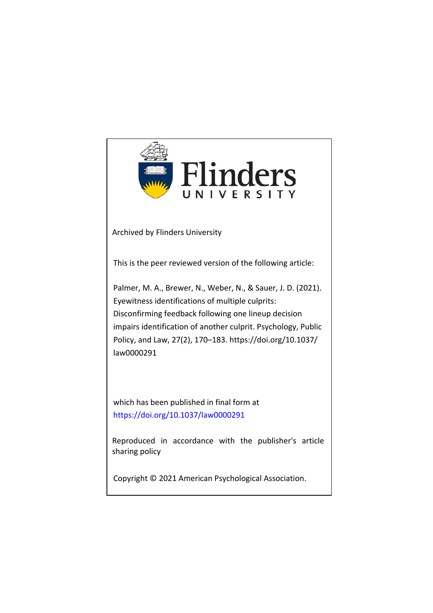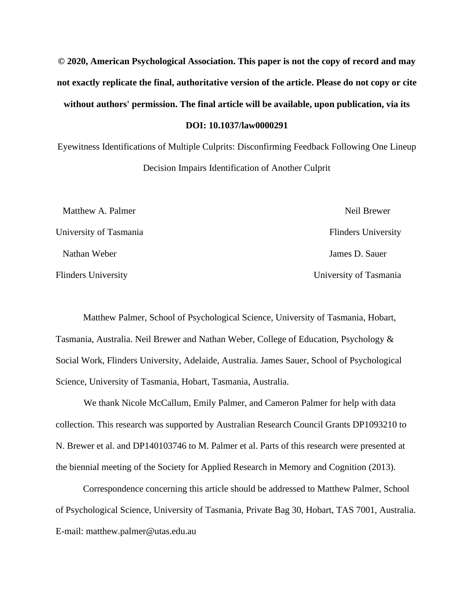**© 2020, American Psychological Association. This paper is not the copy of record and may not exactly replicate the final, authoritative version of the article. Please do not copy or cite without authors' permission. The final article will be available, upon publication, via its DOI: 10.1037/law0000291**

Eyewitness Identifications of Multiple Culprits: Disconfirming Feedback Following One Lineup Decision Impairs Identification of Another Culprit

| Matthew A. Palmer          | Neil Brewer                |
|----------------------------|----------------------------|
| University of Tasmania     | <b>Flinders University</b> |
| Nathan Weber               | James D. Sauer             |
| <b>Flinders University</b> | University of Tasmania     |

Matthew Palmer, School of Psychological Science, University of Tasmania, Hobart, Tasmania, Australia. Neil Brewer and Nathan Weber, College of Education, Psychology & Social Work, Flinders University, Adelaide, Australia. James Sauer, School of Psychological Science, University of Tasmania, Hobart, Tasmania, Australia.

We thank Nicole McCallum, Emily Palmer, and Cameron Palmer for help with data collection. This research was supported by Australian Research Council Grants DP1093210 to N. Brewer et al. and DP140103746 to M. Palmer et al. Parts of this research were presented at the biennial meeting of the Society for Applied Research in Memory and Cognition (2013).

Correspondence concerning this article should be addressed to Matthew Palmer, School of Psychological Science, University of Tasmania, Private Bag 30, Hobart, TAS 7001, Australia. E-mail: matthew.palmer@utas.edu.au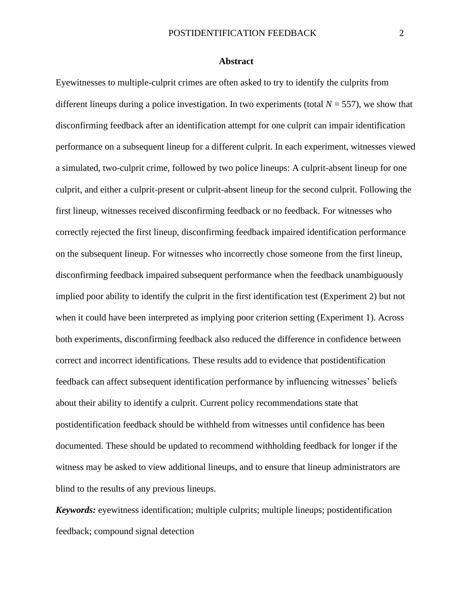#### **Abstract**

Eyewitnesses to multiple-culprit crimes are often asked to try to identify the culprits from different lineups during a police investigation. In two experiments (total  $N = 557$ ), we show that disconfirming feedback after an identification attempt for one culprit can impair identification performance on a subsequent lineup for a different culprit. In each experiment, witnesses viewed a simulated, two-culprit crime, followed by two police lineups: A culprit-absent lineup for one culprit, and either a culprit-present or culprit-absent lineup for the second culprit. Following the first lineup, witnesses received disconfirming feedback or no feedback. For witnesses who correctly rejected the first lineup, disconfirming feedback impaired identification performance on the subsequent lineup. For witnesses who incorrectly chose someone from the first lineup, disconfirming feedback impaired subsequent performance when the feedback unambiguously implied poor ability to identify the culprit in the first identification test (Experiment 2) but not when it could have been interpreted as implying poor criterion setting (Experiment 1). Across both experiments, disconfirming feedback also reduced the difference in confidence between correct and incorrect identifications. These results add to evidence that postidentification feedback can affect subsequent identification performance by influencing witnesses' beliefs about their ability to identify a culprit. Current policy recommendations state that postidentification feedback should be withheld from witnesses until confidence has been documented. These should be updated to recommend withholding feedback for longer if the witness may be asked to view additional lineups, and to ensure that lineup administrators are blind to the results of any previous lineups.

*Keywords:* eyewitness identification; multiple culprits; multiple lineups; postidentification feedback; compound signal detection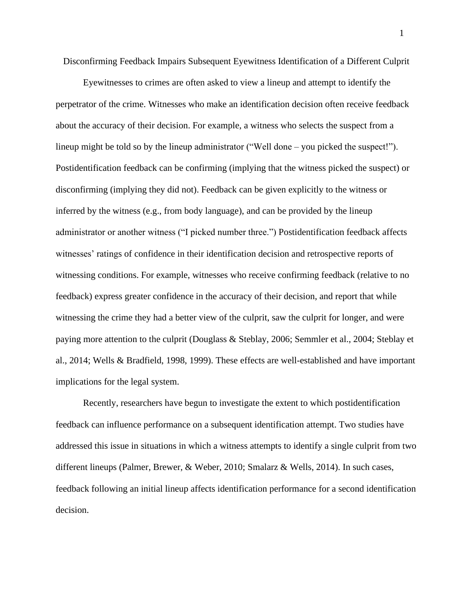Disconfirming Feedback Impairs Subsequent Eyewitness Identification of a Different Culprit

Eyewitnesses to crimes are often asked to view a lineup and attempt to identify the perpetrator of the crime. Witnesses who make an identification decision often receive feedback about the accuracy of their decision. For example, a witness who selects the suspect from a lineup might be told so by the lineup administrator ("Well done – you picked the suspect!"). Postidentification feedback can be confirming (implying that the witness picked the suspect) or disconfirming (implying they did not). Feedback can be given explicitly to the witness or inferred by the witness (e.g., from body language), and can be provided by the lineup administrator or another witness ("I picked number three.") Postidentification feedback affects witnesses' ratings of confidence in their identification decision and retrospective reports of witnessing conditions. For example, witnesses who receive confirming feedback (relative to no feedback) express greater confidence in the accuracy of their decision, and report that while witnessing the crime they had a better view of the culprit, saw the culprit for longer, and were paying more attention to the culprit (Douglass & Steblay, 2006; Semmler et al., 2004; Steblay et al., 2014; Wells & Bradfield, 1998, 1999). These effects are well-established and have important implications for the legal system.

Recently, researchers have begun to investigate the extent to which postidentification feedback can influence performance on a subsequent identification attempt. Two studies have addressed this issue in situations in which a witness attempts to identify a single culprit from two different lineups (Palmer, Brewer, & Weber, 2010; Smalarz & Wells, 2014). In such cases, feedback following an initial lineup affects identification performance for a second identification decision.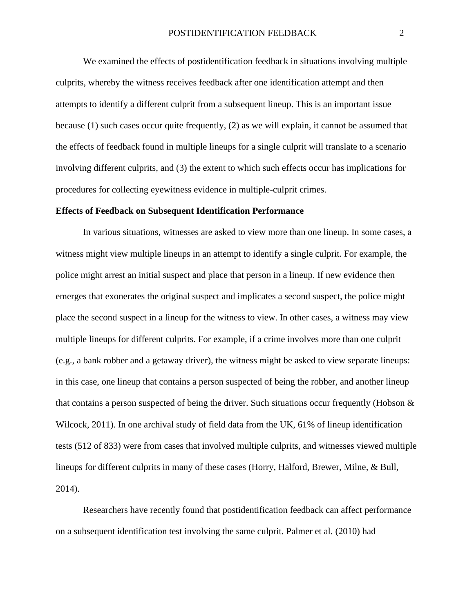We examined the effects of postidentification feedback in situations involving multiple culprits, whereby the witness receives feedback after one identification attempt and then attempts to identify a different culprit from a subsequent lineup. This is an important issue because (1) such cases occur quite frequently, (2) as we will explain, it cannot be assumed that the effects of feedback found in multiple lineups for a single culprit will translate to a scenario involving different culprits, and (3) the extent to which such effects occur has implications for procedures for collecting eyewitness evidence in multiple-culprit crimes.

#### **Effects of Feedback on Subsequent Identification Performance**

In various situations, witnesses are asked to view more than one lineup. In some cases, a witness might view multiple lineups in an attempt to identify a single culprit. For example, the police might arrest an initial suspect and place that person in a lineup. If new evidence then emerges that exonerates the original suspect and implicates a second suspect, the police might place the second suspect in a lineup for the witness to view. In other cases, a witness may view multiple lineups for different culprits. For example, if a crime involves more than one culprit (e.g., a bank robber and a getaway driver), the witness might be asked to view separate lineups: in this case, one lineup that contains a person suspected of being the robber, and another lineup that contains a person suspected of being the driver. Such situations occur frequently (Hobson  $\&$ Wilcock, 2011). In one archival study of field data from the UK, 61% of lineup identification tests (512 of 833) were from cases that involved multiple culprits, and witnesses viewed multiple lineups for different culprits in many of these cases (Horry, Halford, Brewer, Milne, & Bull, 2014).

Researchers have recently found that postidentification feedback can affect performance on a subsequent identification test involving the same culprit. Palmer et al. (2010) had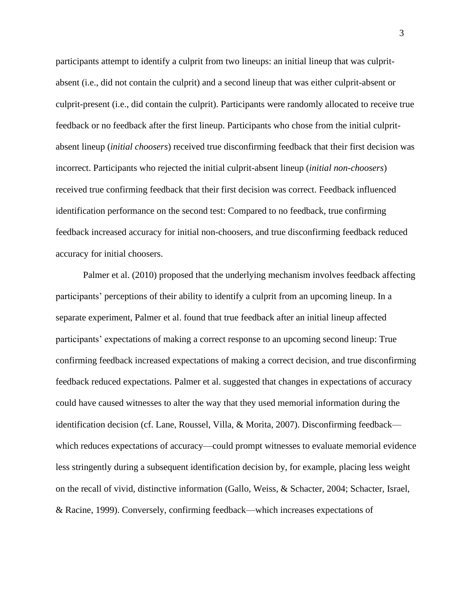participants attempt to identify a culprit from two lineups: an initial lineup that was culpritabsent (i.e., did not contain the culprit) and a second lineup that was either culprit-absent or culprit-present (i.e., did contain the culprit). Participants were randomly allocated to receive true feedback or no feedback after the first lineup. Participants who chose from the initial culpritabsent lineup (*initial choosers*) received true disconfirming feedback that their first decision was incorrect. Participants who rejected the initial culprit-absent lineup (*initial non-choosers*) received true confirming feedback that their first decision was correct. Feedback influenced identification performance on the second test: Compared to no feedback, true confirming feedback increased accuracy for initial non-choosers, and true disconfirming feedback reduced accuracy for initial choosers.

Palmer et al. (2010) proposed that the underlying mechanism involves feedback affecting participants' perceptions of their ability to identify a culprit from an upcoming lineup. In a separate experiment, Palmer et al. found that true feedback after an initial lineup affected participants' expectations of making a correct response to an upcoming second lineup: True confirming feedback increased expectations of making a correct decision, and true disconfirming feedback reduced expectations. Palmer et al. suggested that changes in expectations of accuracy could have caused witnesses to alter the way that they used memorial information during the identification decision (cf. Lane, Roussel, Villa, & Morita, 2007). Disconfirming feedback which reduces expectations of accuracy—could prompt witnesses to evaluate memorial evidence less stringently during a subsequent identification decision by, for example, placing less weight on the recall of vivid, distinctive information (Gallo, Weiss, & Schacter, 2004; Schacter, Israel, & Racine, 1999). Conversely, confirming feedback—which increases expectations of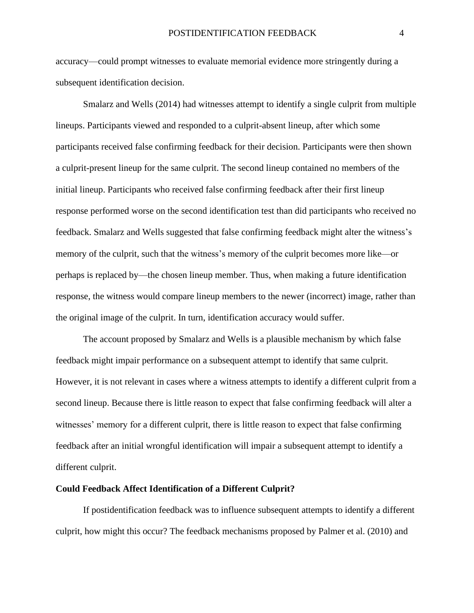accuracy—could prompt witnesses to evaluate memorial evidence more stringently during a subsequent identification decision.

Smalarz and Wells (2014) had witnesses attempt to identify a single culprit from multiple lineups. Participants viewed and responded to a culprit-absent lineup, after which some participants received false confirming feedback for their decision. Participants were then shown a culprit-present lineup for the same culprit. The second lineup contained no members of the initial lineup. Participants who received false confirming feedback after their first lineup response performed worse on the second identification test than did participants who received no feedback. Smalarz and Wells suggested that false confirming feedback might alter the witness's memory of the culprit, such that the witness's memory of the culprit becomes more like—or perhaps is replaced by—the chosen lineup member. Thus, when making a future identification response, the witness would compare lineup members to the newer (incorrect) image, rather than the original image of the culprit. In turn, identification accuracy would suffer.

The account proposed by Smalarz and Wells is a plausible mechanism by which false feedback might impair performance on a subsequent attempt to identify that same culprit. However, it is not relevant in cases where a witness attempts to identify a different culprit from a second lineup. Because there is little reason to expect that false confirming feedback will alter a witnesses' memory for a different culprit, there is little reason to expect that false confirming feedback after an initial wrongful identification will impair a subsequent attempt to identify a different culprit.

#### **Could Feedback Affect Identification of a Different Culprit?**

If postidentification feedback was to influence subsequent attempts to identify a different culprit, how might this occur? The feedback mechanisms proposed by Palmer et al. (2010) and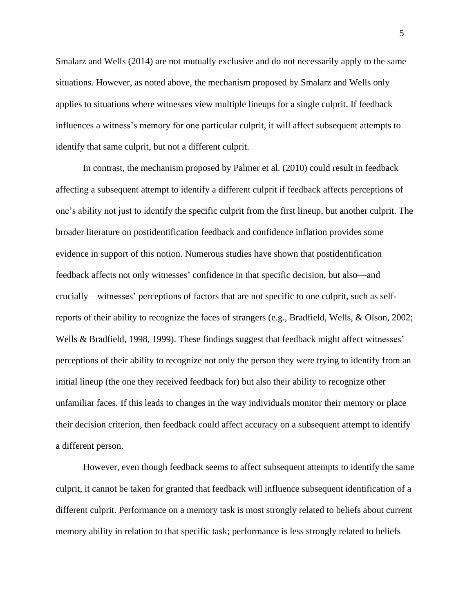Smalarz and Wells (2014) are not mutually exclusive and do not necessarily apply to the same situations. However, as noted above, the mechanism proposed by Smalarz and Wells only applies to situations where witnesses view multiple lineups for a single culprit. If feedback influences a witness's memory for one particular culprit, it will affect subsequent attempts to identify that same culprit, but not a different culprit.

In contrast, the mechanism proposed by Palmer et al. (2010) could result in feedback affecting a subsequent attempt to identify a different culprit if feedback affects perceptions of one's ability not just to identify the specific culprit from the first lineup, but another culprit. The broader literature on postidentification feedback and confidence inflation provides some evidence in support of this notion. Numerous studies have shown that postidentification feedback affects not only witnesses' confidence in that specific decision, but also—and crucially—witnesses' perceptions of factors that are not specific to one culprit, such as selfreports of their ability to recognize the faces of strangers (e.g., Bradfield, Wells, & Olson, 2002; Wells & Bradfield, 1998, 1999). These findings suggest that feedback might affect witnesses' perceptions of their ability to recognize not only the person they were trying to identify from an initial lineup (the one they received feedback for) but also their ability to recognize other unfamiliar faces. If this leads to changes in the way individuals monitor their memory or place their decision criterion, then feedback could affect accuracy on a subsequent attempt to identify a different person.

However, even though feedback seems to affect subsequent attempts to identify the same culprit, it cannot be taken for granted that feedback will influence subsequent identification of a different culprit. Performance on a memory task is most strongly related to beliefs about current memory ability in relation to that specific task; performance is less strongly related to beliefs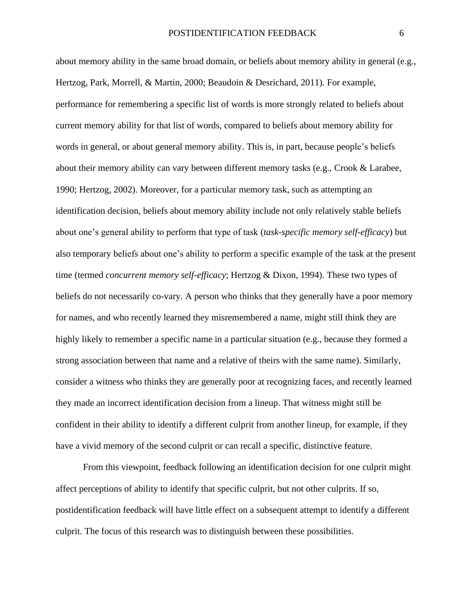about memory ability in the same broad domain, or beliefs about memory ability in general (e.g., Hertzog, Park, Morrell, & Martin, 2000; Beaudoin & Desrichard, 2011). For example, performance for remembering a specific list of words is more strongly related to beliefs about current memory ability for that list of words, compared to beliefs about memory ability for words in general, or about general memory ability. This is, in part, because people's beliefs about their memory ability can vary between different memory tasks (e.g., Crook & Larabee, 1990; Hertzog, 2002). Moreover, for a particular memory task, such as attempting an identification decision, beliefs about memory ability include not only relatively stable beliefs about one's general ability to perform that type of task (*task-specific memory self-efficacy*) but also temporary beliefs about one's ability to perform a specific example of the task at the present time (termed *concurrent memory self-efficacy*; Hertzog & Dixon, 1994). These two types of beliefs do not necessarily co-vary. A person who thinks that they generally have a poor memory for names, and who recently learned they misremembered a name, might still think they are highly likely to remember a specific name in a particular situation (e.g., because they formed a strong association between that name and a relative of theirs with the same name). Similarly, consider a witness who thinks they are generally poor at recognizing faces, and recently learned they made an incorrect identification decision from a lineup. That witness might still be confident in their ability to identify a different culprit from another lineup, for example, if they have a vivid memory of the second culprit or can recall a specific, distinctive feature.

From this viewpoint, feedback following an identification decision for one culprit might affect perceptions of ability to identify that specific culprit, but not other culprits. If so, postidentification feedback will have little effect on a subsequent attempt to identify a different culprit. The focus of this research was to distinguish between these possibilities.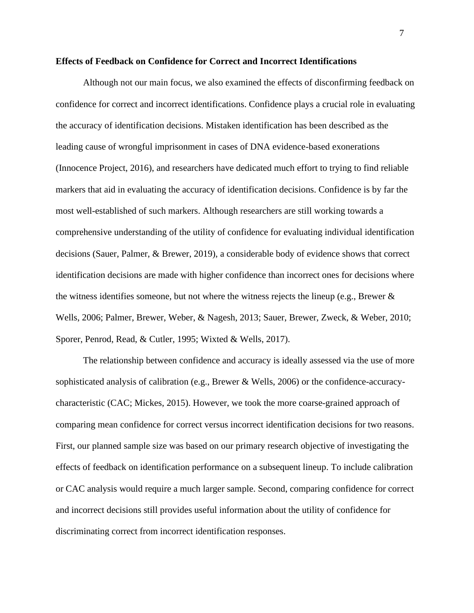#### **Effects of Feedback on Confidence for Correct and Incorrect Identifications**

Although not our main focus, we also examined the effects of disconfirming feedback on confidence for correct and incorrect identifications. Confidence plays a crucial role in evaluating the accuracy of identification decisions. Mistaken identification has been described as the leading cause of wrongful imprisonment in cases of DNA evidence-based exonerations (Innocence Project, 2016), and researchers have dedicated much effort to trying to find reliable markers that aid in evaluating the accuracy of identification decisions. Confidence is by far the most well-established of such markers. Although researchers are still working towards a comprehensive understanding of the utility of confidence for evaluating individual identification decisions (Sauer, Palmer, & Brewer, 2019), a considerable body of evidence shows that correct identification decisions are made with higher confidence than incorrect ones for decisions where the witness identifies someone, but not where the witness rejects the lineup (e.g., Brewer  $\&$ Wells, 2006; Palmer, Brewer, Weber, & Nagesh, 2013; Sauer, Brewer, Zweck, & Weber, 2010; Sporer, Penrod, Read, & Cutler, 1995; Wixted & Wells, 2017).

The relationship between confidence and accuracy is ideally assessed via the use of more sophisticated analysis of calibration (e.g., Brewer & Wells, 2006) or the confidence-accuracycharacteristic (CAC; Mickes, 2015). However, we took the more coarse-grained approach of comparing mean confidence for correct versus incorrect identification decisions for two reasons. First, our planned sample size was based on our primary research objective of investigating the effects of feedback on identification performance on a subsequent lineup. To include calibration or CAC analysis would require a much larger sample. Second, comparing confidence for correct and incorrect decisions still provides useful information about the utility of confidence for discriminating correct from incorrect identification responses.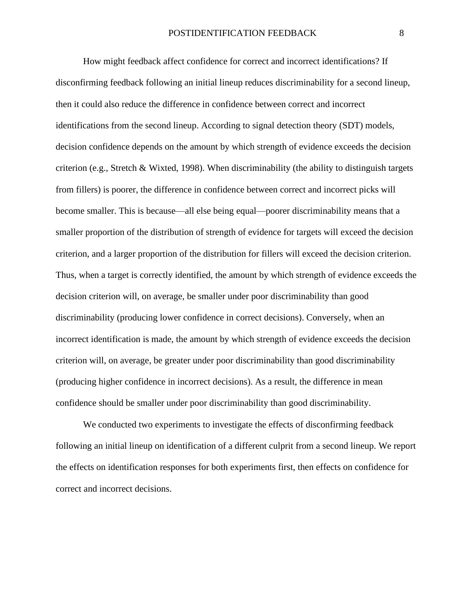How might feedback affect confidence for correct and incorrect identifications? If disconfirming feedback following an initial lineup reduces discriminability for a second lineup, then it could also reduce the difference in confidence between correct and incorrect identifications from the second lineup. According to signal detection theory (SDT) models, decision confidence depends on the amount by which strength of evidence exceeds the decision criterion (e.g., Stretch & Wixted, 1998). When discriminability (the ability to distinguish targets from fillers) is poorer, the difference in confidence between correct and incorrect picks will become smaller. This is because—all else being equal—poorer discriminability means that a smaller proportion of the distribution of strength of evidence for targets will exceed the decision criterion, and a larger proportion of the distribution for fillers will exceed the decision criterion. Thus, when a target is correctly identified, the amount by which strength of evidence exceeds the decision criterion will, on average, be smaller under poor discriminability than good discriminability (producing lower confidence in correct decisions). Conversely, when an incorrect identification is made, the amount by which strength of evidence exceeds the decision criterion will, on average, be greater under poor discriminability than good discriminability (producing higher confidence in incorrect decisions). As a result, the difference in mean confidence should be smaller under poor discriminability than good discriminability.

We conducted two experiments to investigate the effects of disconfirming feedback following an initial lineup on identification of a different culprit from a second lineup. We report the effects on identification responses for both experiments first, then effects on confidence for correct and incorrect decisions.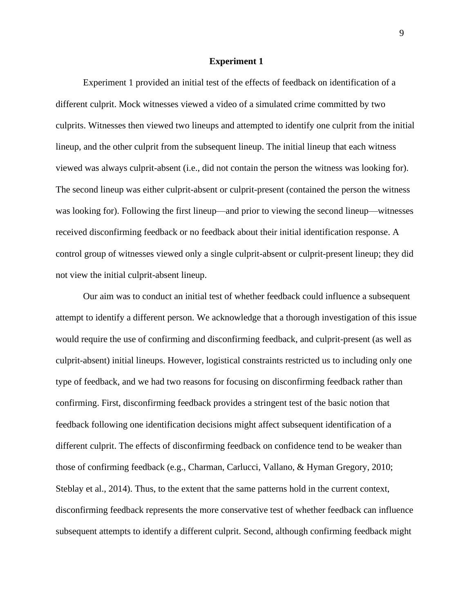#### **Experiment 1**

Experiment 1 provided an initial test of the effects of feedback on identification of a different culprit. Mock witnesses viewed a video of a simulated crime committed by two culprits. Witnesses then viewed two lineups and attempted to identify one culprit from the initial lineup, and the other culprit from the subsequent lineup. The initial lineup that each witness viewed was always culprit-absent (i.e., did not contain the person the witness was looking for). The second lineup was either culprit-absent or culprit-present (contained the person the witness was looking for). Following the first lineup—and prior to viewing the second lineup—witnesses received disconfirming feedback or no feedback about their initial identification response. A control group of witnesses viewed only a single culprit-absent or culprit-present lineup; they did not view the initial culprit-absent lineup.

Our aim was to conduct an initial test of whether feedback could influence a subsequent attempt to identify a different person. We acknowledge that a thorough investigation of this issue would require the use of confirming and disconfirming feedback, and culprit-present (as well as culprit-absent) initial lineups. However, logistical constraints restricted us to including only one type of feedback, and we had two reasons for focusing on disconfirming feedback rather than confirming. First, disconfirming feedback provides a stringent test of the basic notion that feedback following one identification decisions might affect subsequent identification of a different culprit. The effects of disconfirming feedback on confidence tend to be weaker than those of confirming feedback (e.g., Charman, Carlucci, Vallano, & Hyman Gregory, 2010; Steblay et al., 2014). Thus, to the extent that the same patterns hold in the current context, disconfirming feedback represents the more conservative test of whether feedback can influence subsequent attempts to identify a different culprit. Second, although confirming feedback might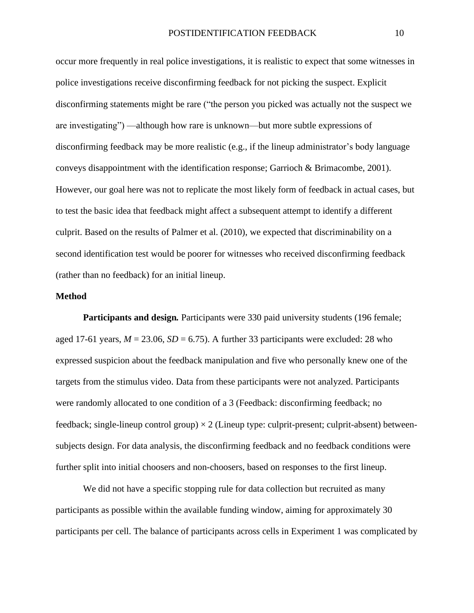occur more frequently in real police investigations, it is realistic to expect that some witnesses in police investigations receive disconfirming feedback for not picking the suspect. Explicit disconfirming statements might be rare ("the person you picked was actually not the suspect we are investigating") —although how rare is unknown—but more subtle expressions of disconfirming feedback may be more realistic (e.g., if the lineup administrator's body language conveys disappointment with the identification response; Garrioch & Brimacombe, 2001). However, our goal here was not to replicate the most likely form of feedback in actual cases, but to test the basic idea that feedback might affect a subsequent attempt to identify a different culprit. Based on the results of Palmer et al. (2010), we expected that discriminability on a second identification test would be poorer for witnesses who received disconfirming feedback (rather than no feedback) for an initial lineup.

#### **Method**

**Participants and design***.* Participants were 330 paid university students (196 female; aged 17-61 years,  $M = 23.06$ ,  $SD = 6.75$ ). A further 33 participants were excluded: 28 who expressed suspicion about the feedback manipulation and five who personally knew one of the targets from the stimulus video. Data from these participants were not analyzed. Participants were randomly allocated to one condition of a 3 (Feedback: disconfirming feedback; no feedback; single-lineup control group)  $\times$  2 (Lineup type: culprit-present; culprit-absent) betweensubjects design. For data analysis, the disconfirming feedback and no feedback conditions were further split into initial choosers and non-choosers, based on responses to the first lineup.

We did not have a specific stopping rule for data collection but recruited as many participants as possible within the available funding window, aiming for approximately 30 participants per cell. The balance of participants across cells in Experiment 1 was complicated by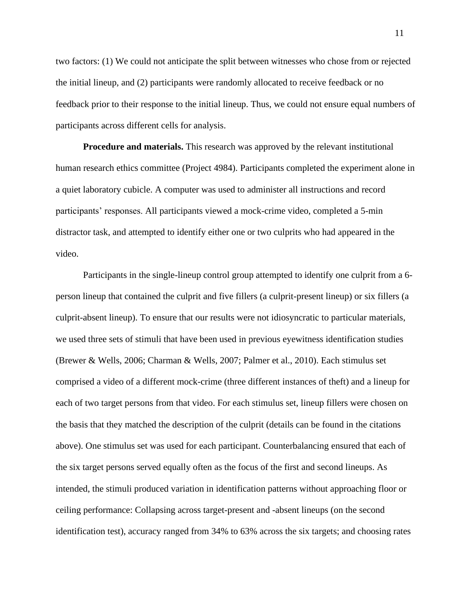two factors: (1) We could not anticipate the split between witnesses who chose from or rejected the initial lineup, and (2) participants were randomly allocated to receive feedback or no feedback prior to their response to the initial lineup. Thus, we could not ensure equal numbers of participants across different cells for analysis.

**Procedure and materials.** This research was approved by the relevant institutional human research ethics committee (Project 4984). Participants completed the experiment alone in a quiet laboratory cubicle. A computer was used to administer all instructions and record participants' responses. All participants viewed a mock-crime video, completed a 5-min distractor task, and attempted to identify either one or two culprits who had appeared in the video.

Participants in the single-lineup control group attempted to identify one culprit from a 6 person lineup that contained the culprit and five fillers (a culprit-present lineup) or six fillers (a culprit-absent lineup). To ensure that our results were not idiosyncratic to particular materials, we used three sets of stimuli that have been used in previous eyewitness identification studies (Brewer & Wells, 2006; Charman & Wells, 2007; Palmer et al., 2010). Each stimulus set comprised a video of a different mock-crime (three different instances of theft) and a lineup for each of two target persons from that video. For each stimulus set, lineup fillers were chosen on the basis that they matched the description of the culprit (details can be found in the citations above). One stimulus set was used for each participant. Counterbalancing ensured that each of the six target persons served equally often as the focus of the first and second lineups. As intended, the stimuli produced variation in identification patterns without approaching floor or ceiling performance: Collapsing across target-present and -absent lineups (on the second identification test), accuracy ranged from 34% to 63% across the six targets; and choosing rates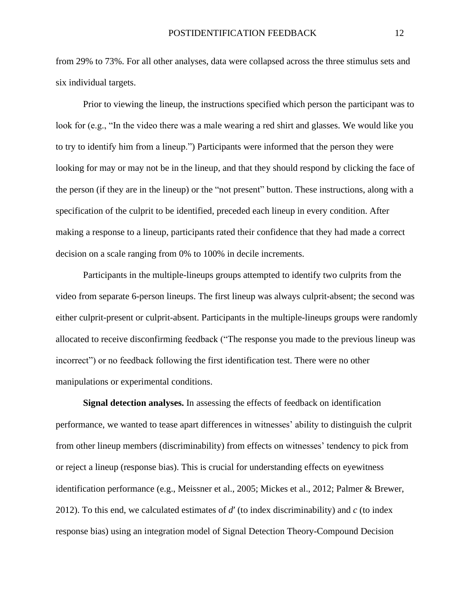from 29% to 73%. For all other analyses, data were collapsed across the three stimulus sets and six individual targets.

Prior to viewing the lineup, the instructions specified which person the participant was to look for (e.g., "In the video there was a male wearing a red shirt and glasses. We would like you to try to identify him from a lineup.") Participants were informed that the person they were looking for may or may not be in the lineup, and that they should respond by clicking the face of the person (if they are in the lineup) or the "not present" button. These instructions, along with a specification of the culprit to be identified, preceded each lineup in every condition. After making a response to a lineup, participants rated their confidence that they had made a correct decision on a scale ranging from 0% to 100% in decile increments.

Participants in the multiple-lineups groups attempted to identify two culprits from the video from separate 6-person lineups. The first lineup was always culprit-absent; the second was either culprit-present or culprit-absent. Participants in the multiple-lineups groups were randomly allocated to receive disconfirming feedback ("The response you made to the previous lineup was incorrect") or no feedback following the first identification test. There were no other manipulations or experimental conditions.

**Signal detection analyses.** In assessing the effects of feedback on identification performance, we wanted to tease apart differences in witnesses' ability to distinguish the culprit from other lineup members (discriminability) from effects on witnesses' tendency to pick from or reject a lineup (response bias). This is crucial for understanding effects on eyewitness identification performance (e.g., Meissner et al., 2005; Mickes et al., 2012; Palmer & Brewer, 2012). To this end, we calculated estimates of *d*′ (to index discriminability) and *c* (to index response bias) using an integration model of Signal Detection Theory-Compound Decision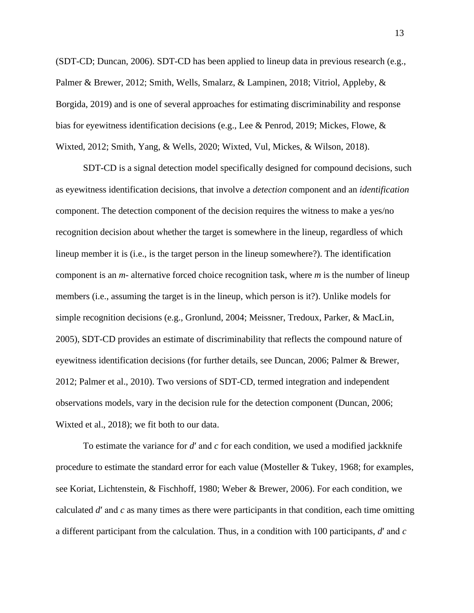(SDT-CD; Duncan, 2006). SDT-CD has been applied to lineup data in previous research (e.g., Palmer & Brewer, 2012; Smith, Wells, Smalarz, & Lampinen, 2018; Vitriol, Appleby, & Borgida, 2019) and is one of several approaches for estimating discriminability and response bias for eyewitness identification decisions (e.g., Lee & Penrod, 2019; Mickes, Flowe, & Wixted, 2012; Smith, Yang, & Wells, 2020; Wixted, Vul, Mickes, & Wilson, 2018).

SDT-CD is a signal detection model specifically designed for compound decisions, such as eyewitness identification decisions, that involve a *detection* component and an *identification* component. The detection component of the decision requires the witness to make a yes/no recognition decision about whether the target is somewhere in the lineup, regardless of which lineup member it is (i.e., is the target person in the lineup somewhere?). The identification component is an *m*- alternative forced choice recognition task, where *m* is the number of lineup members (i.e., assuming the target is in the lineup, which person is it?). Unlike models for simple recognition decisions (e.g., Gronlund, 2004; Meissner, Tredoux, Parker, & MacLin, 2005), SDT-CD provides an estimate of discriminability that reflects the compound nature of eyewitness identification decisions (for further details, see Duncan, 2006; Palmer & Brewer, 2012; Palmer et al., 2010). Two versions of SDT-CD, termed integration and independent observations models, vary in the decision rule for the detection component (Duncan, 2006; Wixted et al., 2018); we fit both to our data.

To estimate the variance for *d*′ and *c* for each condition, we used a modified jackknife procedure to estimate the standard error for each value (Mosteller & Tukey, 1968; for examples, see Koriat, Lichtenstein, & Fischhoff, 1980; Weber & Brewer, 2006). For each condition, we calculated *d*′ and *c* as many times as there were participants in that condition, each time omitting a different participant from the calculation. Thus, in a condition with 100 participants, *d*′ and *c*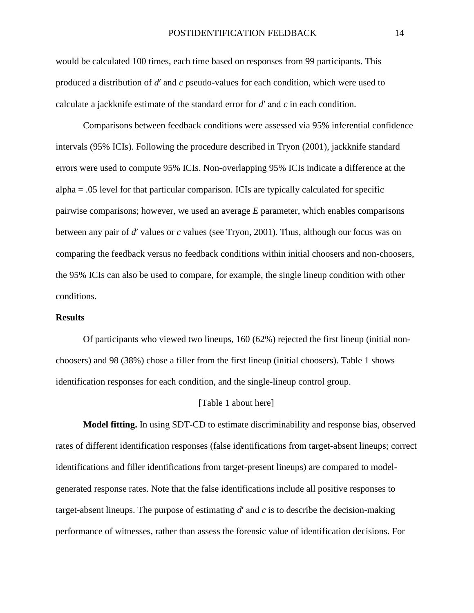would be calculated 100 times, each time based on responses from 99 participants. This produced a distribution of *d*′ and *c* pseudo-values for each condition, which were used to calculate a jackknife estimate of the standard error for *d*′ and *c* in each condition.

Comparisons between feedback conditions were assessed via 95% inferential confidence intervals (95% ICIs). Following the procedure described in Tryon (2001), jackknife standard errors were used to compute 95% ICIs. Non-overlapping 95% ICIs indicate a difference at the alpha = .05 level for that particular comparison. ICIs are typically calculated for specific pairwise comparisons; however, we used an average *E* parameter, which enables comparisons between any pair of *d*′ values or *c* values (see Tryon, 2001). Thus, although our focus was on comparing the feedback versus no feedback conditions within initial choosers and non-choosers, the 95% ICIs can also be used to compare, for example, the single lineup condition with other conditions.

#### **Results**

Of participants who viewed two lineups, 160 (62%) rejected the first lineup (initial nonchoosers) and 98 (38%) chose a filler from the first lineup (initial choosers). Table 1 shows identification responses for each condition, and the single-lineup control group.

#### [Table 1 about here]

**Model fitting.** In using SDT-CD to estimate discriminability and response bias, observed rates of different identification responses (false identifications from target-absent lineups; correct identifications and filler identifications from target-present lineups) are compared to modelgenerated response rates. Note that the false identifications include all positive responses to target-absent lineups. The purpose of estimating *d*′ and *c* is to describe the decision-making performance of witnesses, rather than assess the forensic value of identification decisions. For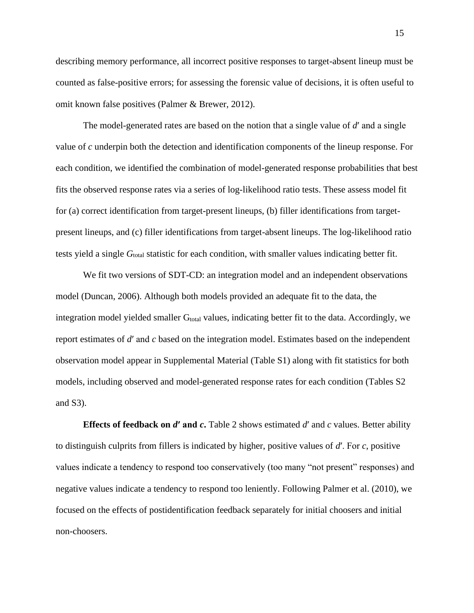describing memory performance, all incorrect positive responses to target-absent lineup must be counted as false-positive errors; for assessing the forensic value of decisions, it is often useful to omit known false positives (Palmer & Brewer, 2012).

The model-generated rates are based on the notion that a single value of *d*′ and a single value of *c* underpin both the detection and identification components of the lineup response. For each condition, we identified the combination of model-generated response probabilities that best fits the observed response rates via a series of log-likelihood ratio tests. These assess model fit for (a) correct identification from target-present lineups, (b) filler identifications from targetpresent lineups, and (c) filler identifications from target-absent lineups. The log-likelihood ratio tests yield a single *G*total statistic for each condition, with smaller values indicating better fit.

We fit two versions of SDT-CD: an integration model and an independent observations model (Duncan, 2006). Although both models provided an adequate fit to the data, the integration model yielded smaller  $G<sub>total</sub>$  values, indicating better fit to the data. Accordingly, we report estimates of *d*′ and *c* based on the integration model. Estimates based on the independent observation model appear in Supplemental Material (Table S1) along with fit statistics for both models, including observed and model-generated response rates for each condition (Tables S2 and S3).

**Effects of feedback on** *d***′ and** *c***.** Table 2 shows estimated *d*′ and *c* values. Better ability to distinguish culprits from fillers is indicated by higher, positive values of *d*′. For *c*, positive values indicate a tendency to respond too conservatively (too many "not present" responses) and negative values indicate a tendency to respond too leniently. Following Palmer et al. (2010), we focused on the effects of postidentification feedback separately for initial choosers and initial non-choosers.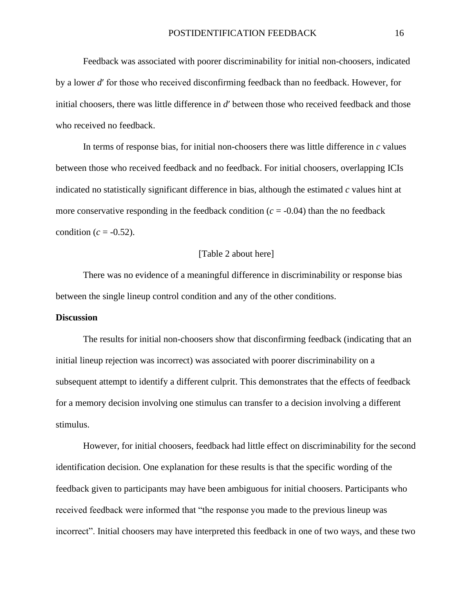Feedback was associated with poorer discriminability for initial non-choosers, indicated by a lower *d*′ for those who received disconfirming feedback than no feedback. However, for initial choosers, there was little difference in *d*′ between those who received feedback and those who received no feedback.

In terms of response bias, for initial non-choosers there was little difference in *c* values between those who received feedback and no feedback. For initial choosers, overlapping ICIs indicated no statistically significant difference in bias, although the estimated *c* values hint at more conservative responding in the feedback condition  $(c = -0.04)$  than the no feedback condition ( $c = -0.52$ ).

#### [Table 2 about here]

There was no evidence of a meaningful difference in discriminability or response bias between the single lineup control condition and any of the other conditions.

#### **Discussion**

The results for initial non-choosers show that disconfirming feedback (indicating that an initial lineup rejection was incorrect) was associated with poorer discriminability on a subsequent attempt to identify a different culprit. This demonstrates that the effects of feedback for a memory decision involving one stimulus can transfer to a decision involving a different stimulus.

However, for initial choosers, feedback had little effect on discriminability for the second identification decision. One explanation for these results is that the specific wording of the feedback given to participants may have been ambiguous for initial choosers. Participants who received feedback were informed that "the response you made to the previous lineup was incorrect". Initial choosers may have interpreted this feedback in one of two ways, and these two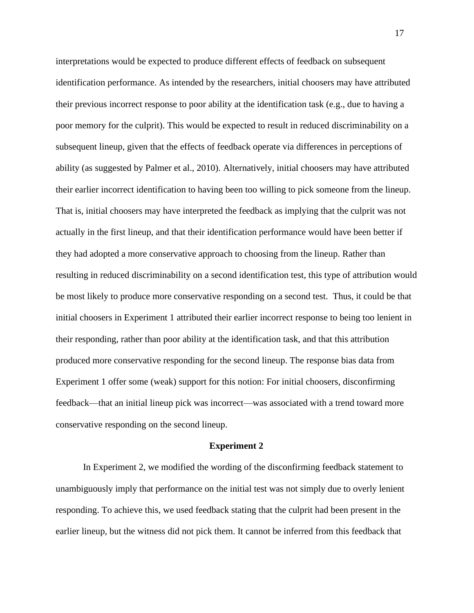interpretations would be expected to produce different effects of feedback on subsequent identification performance. As intended by the researchers, initial choosers may have attributed their previous incorrect response to poor ability at the identification task (e.g., due to having a poor memory for the culprit). This would be expected to result in reduced discriminability on a subsequent lineup, given that the effects of feedback operate via differences in perceptions of ability (as suggested by Palmer et al., 2010). Alternatively, initial choosers may have attributed their earlier incorrect identification to having been too willing to pick someone from the lineup. That is, initial choosers may have interpreted the feedback as implying that the culprit was not actually in the first lineup, and that their identification performance would have been better if they had adopted a more conservative approach to choosing from the lineup. Rather than resulting in reduced discriminability on a second identification test, this type of attribution would be most likely to produce more conservative responding on a second test. Thus, it could be that initial choosers in Experiment 1 attributed their earlier incorrect response to being too lenient in their responding, rather than poor ability at the identification task, and that this attribution produced more conservative responding for the second lineup. The response bias data from Experiment 1 offer some (weak) support for this notion: For initial choosers, disconfirming feedback—that an initial lineup pick was incorrect—was associated with a trend toward more conservative responding on the second lineup.

#### **Experiment 2**

In Experiment 2, we modified the wording of the disconfirming feedback statement to unambiguously imply that performance on the initial test was not simply due to overly lenient responding. To achieve this, we used feedback stating that the culprit had been present in the earlier lineup, but the witness did not pick them. It cannot be inferred from this feedback that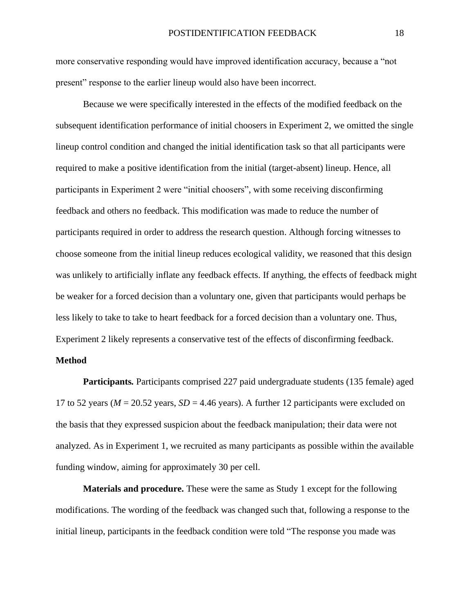more conservative responding would have improved identification accuracy, because a "not present" response to the earlier lineup would also have been incorrect.

Because we were specifically interested in the effects of the modified feedback on the subsequent identification performance of initial choosers in Experiment 2, we omitted the single lineup control condition and changed the initial identification task so that all participants were required to make a positive identification from the initial (target-absent) lineup. Hence, all participants in Experiment 2 were "initial choosers", with some receiving disconfirming feedback and others no feedback. This modification was made to reduce the number of participants required in order to address the research question. Although forcing witnesses to choose someone from the initial lineup reduces ecological validity, we reasoned that this design was unlikely to artificially inflate any feedback effects. If anything, the effects of feedback might be weaker for a forced decision than a voluntary one, given that participants would perhaps be less likely to take to take to heart feedback for a forced decision than a voluntary one. Thus, Experiment 2 likely represents a conservative test of the effects of disconfirming feedback.

#### **Method**

**Participants***.* Participants comprised 227 paid undergraduate students (135 female) aged 17 to 52 years ( $M = 20.52$  years,  $SD = 4.46$  years). A further 12 participants were excluded on the basis that they expressed suspicion about the feedback manipulation; their data were not analyzed. As in Experiment 1, we recruited as many participants as possible within the available funding window, aiming for approximately 30 per cell.

**Materials and procedure.** These were the same as Study 1 except for the following modifications. The wording of the feedback was changed such that, following a response to the initial lineup, participants in the feedback condition were told "The response you made was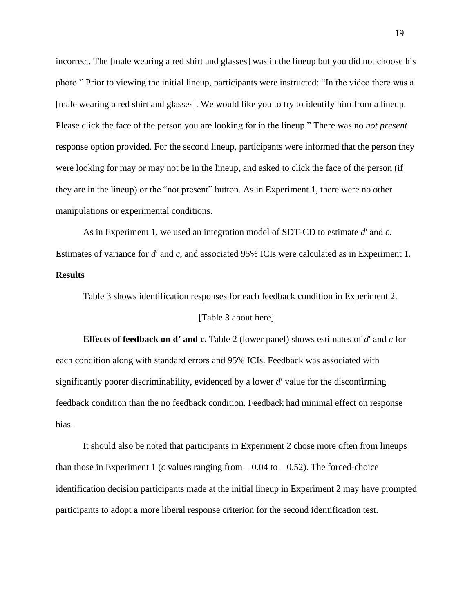incorrect. The [male wearing a red shirt and glasses] was in the lineup but you did not choose his photo." Prior to viewing the initial lineup, participants were instructed: "In the video there was a [male wearing a red shirt and glasses]. We would like you to try to identify him from a lineup. Please click the face of the person you are looking for in the lineup." There was no *not present* response option provided. For the second lineup, participants were informed that the person they were looking for may or may not be in the lineup, and asked to click the face of the person (if they are in the lineup) or the "not present" button. As in Experiment 1, there were no other manipulations or experimental conditions.

As in Experiment 1, we used an integration model of SDT-CD to estimate *d*′ and *c*. Estimates of variance for *d*′ and *c*, and associated 95% ICIs were calculated as in Experiment 1.

### **Results**

Table 3 shows identification responses for each feedback condition in Experiment 2.

#### [Table 3 about here]

**Effects of feedback on d′ and c.** Table 2 (lower panel) shows estimates of *d*′ and *c* for each condition along with standard errors and 95% ICIs. Feedback was associated with significantly poorer discriminability, evidenced by a lower *d*′ value for the disconfirming feedback condition than the no feedback condition. Feedback had minimal effect on response bias.

It should also be noted that participants in Experiment 2 chose more often from lineups than those in Experiment 1 ( $c$  values ranging from  $-0.04$  to  $-0.52$ ). The forced-choice identification decision participants made at the initial lineup in Experiment 2 may have prompted participants to adopt a more liberal response criterion for the second identification test.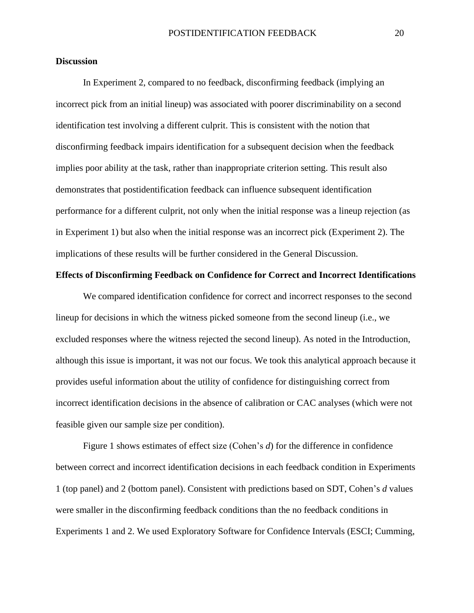#### **Discussion**

In Experiment 2, compared to no feedback, disconfirming feedback (implying an incorrect pick from an initial lineup) was associated with poorer discriminability on a second identification test involving a different culprit. This is consistent with the notion that disconfirming feedback impairs identification for a subsequent decision when the feedback implies poor ability at the task, rather than inappropriate criterion setting. This result also demonstrates that postidentification feedback can influence subsequent identification performance for a different culprit, not only when the initial response was a lineup rejection (as in Experiment 1) but also when the initial response was an incorrect pick (Experiment 2). The implications of these results will be further considered in the General Discussion.

#### **Effects of Disconfirming Feedback on Confidence for Correct and Incorrect Identifications**

We compared identification confidence for correct and incorrect responses to the second lineup for decisions in which the witness picked someone from the second lineup (i.e., we excluded responses where the witness rejected the second lineup). As noted in the Introduction, although this issue is important, it was not our focus. We took this analytical approach because it provides useful information about the utility of confidence for distinguishing correct from incorrect identification decisions in the absence of calibration or CAC analyses (which were not feasible given our sample size per condition).

Figure 1 shows estimates of effect size (Cohen's *d*) for the difference in confidence between correct and incorrect identification decisions in each feedback condition in Experiments 1 (top panel) and 2 (bottom panel). Consistent with predictions based on SDT, Cohen's *d* values were smaller in the disconfirming feedback conditions than the no feedback conditions in Experiments 1 and 2. We used Exploratory Software for Confidence Intervals (ESCI; Cumming,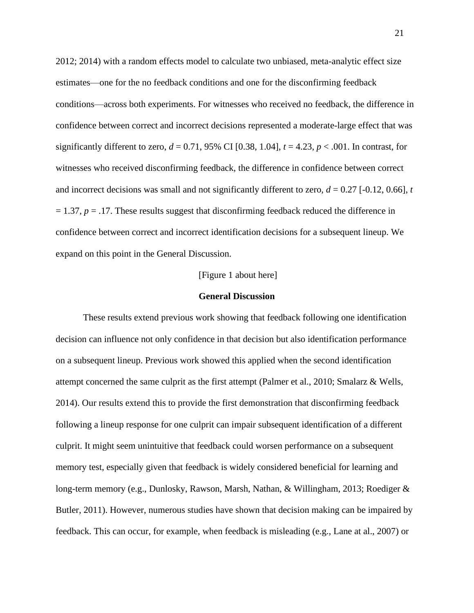2012; 2014) with a random effects model to calculate two unbiased, meta-analytic effect size estimates—one for the no feedback conditions and one for the disconfirming feedback conditions—across both experiments. For witnesses who received no feedback, the difference in confidence between correct and incorrect decisions represented a moderate-large effect that was significantly different to zero,  $d = 0.71$ , 95% CI [0.38, 1.04],  $t = 4.23$ ,  $p < .001$ . In contrast, for witnesses who received disconfirming feedback, the difference in confidence between correct and incorrect decisions was small and not significantly different to zero,  $d = 0.27$  [-0.12, 0.66], *t*  $= 1.37$ ,  $p = .17$ . These results suggest that disconfirming feedback reduced the difference in confidence between correct and incorrect identification decisions for a subsequent lineup. We expand on this point in the General Discussion.

#### [Figure 1 about here]

#### **General Discussion**

These results extend previous work showing that feedback following one identification decision can influence not only confidence in that decision but also identification performance on a subsequent lineup. Previous work showed this applied when the second identification attempt concerned the same culprit as the first attempt (Palmer et al., 2010; Smalarz & Wells, 2014). Our results extend this to provide the first demonstration that disconfirming feedback following a lineup response for one culprit can impair subsequent identification of a different culprit. It might seem unintuitive that feedback could worsen performance on a subsequent memory test, especially given that feedback is widely considered beneficial for learning and long-term memory (e.g., Dunlosky, Rawson, Marsh, Nathan, & Willingham, 2013; Roediger & Butler, 2011). However, numerous studies have shown that decision making can be impaired by feedback. This can occur, for example, when feedback is misleading (e.g., Lane at al., 2007) or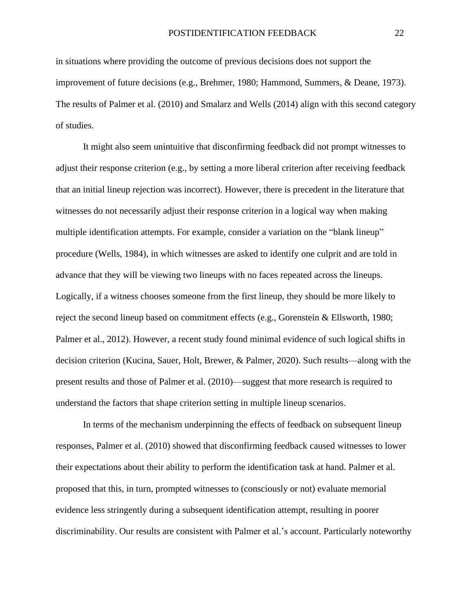in situations where providing the outcome of previous decisions does not support the improvement of future decisions (e.g., Brehmer, 1980; Hammond, Summers, & Deane, 1973). The results of Palmer et al. (2010) and Smalarz and Wells (2014) align with this second category of studies.

It might also seem unintuitive that disconfirming feedback did not prompt witnesses to adjust their response criterion (e.g., by setting a more liberal criterion after receiving feedback that an initial lineup rejection was incorrect). However, there is precedent in the literature that witnesses do not necessarily adjust their response criterion in a logical way when making multiple identification attempts. For example, consider a variation on the "blank lineup" procedure (Wells, 1984), in which witnesses are asked to identify one culprit and are told in advance that they will be viewing two lineups with no faces repeated across the lineups. Logically, if a witness chooses someone from the first lineup, they should be more likely to reject the second lineup based on commitment effects (e.g., Gorenstein & Ellsworth, 1980; Palmer et al., 2012). However, a recent study found minimal evidence of such logical shifts in decision criterion (Kucina, Sauer, Holt, Brewer, & Palmer, 2020). Such results—along with the present results and those of Palmer et al. (2010)—suggest that more research is required to understand the factors that shape criterion setting in multiple lineup scenarios.

In terms of the mechanism underpinning the effects of feedback on subsequent lineup responses, Palmer et al. (2010) showed that disconfirming feedback caused witnesses to lower their expectations about their ability to perform the identification task at hand. Palmer et al. proposed that this, in turn, prompted witnesses to (consciously or not) evaluate memorial evidence less stringently during a subsequent identification attempt, resulting in poorer discriminability. Our results are consistent with Palmer et al.'s account. Particularly noteworthy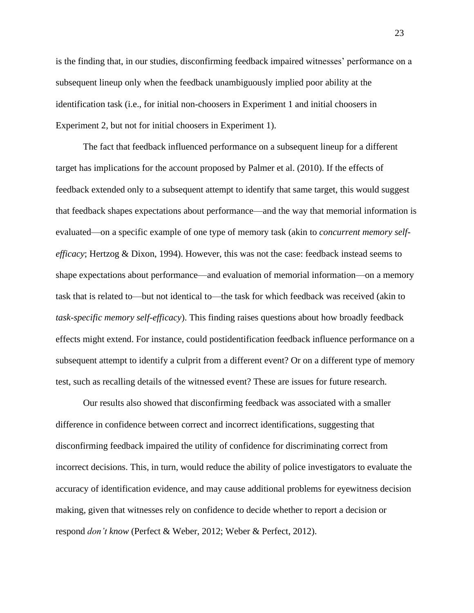is the finding that, in our studies, disconfirming feedback impaired witnesses' performance on a subsequent lineup only when the feedback unambiguously implied poor ability at the identification task (i.e., for initial non-choosers in Experiment 1 and initial choosers in Experiment 2, but not for initial choosers in Experiment 1).

The fact that feedback influenced performance on a subsequent lineup for a different target has implications for the account proposed by Palmer et al. (2010). If the effects of feedback extended only to a subsequent attempt to identify that same target, this would suggest that feedback shapes expectations about performance—and the way that memorial information is evaluated—on a specific example of one type of memory task (akin to *concurrent memory selfefficacy*; Hertzog & Dixon, 1994). However, this was not the case: feedback instead seems to shape expectations about performance—and evaluation of memorial information—on a memory task that is related to—but not identical to—the task for which feedback was received (akin to *task-specific memory self-efficacy*). This finding raises questions about how broadly feedback effects might extend. For instance, could postidentification feedback influence performance on a subsequent attempt to identify a culprit from a different event? Or on a different type of memory test, such as recalling details of the witnessed event? These are issues for future research.

Our results also showed that disconfirming feedback was associated with a smaller difference in confidence between correct and incorrect identifications, suggesting that disconfirming feedback impaired the utility of confidence for discriminating correct from incorrect decisions. This, in turn, would reduce the ability of police investigators to evaluate the accuracy of identification evidence, and may cause additional problems for eyewitness decision making, given that witnesses rely on confidence to decide whether to report a decision or respond *don't know* (Perfect & Weber, 2012; Weber & Perfect, 2012).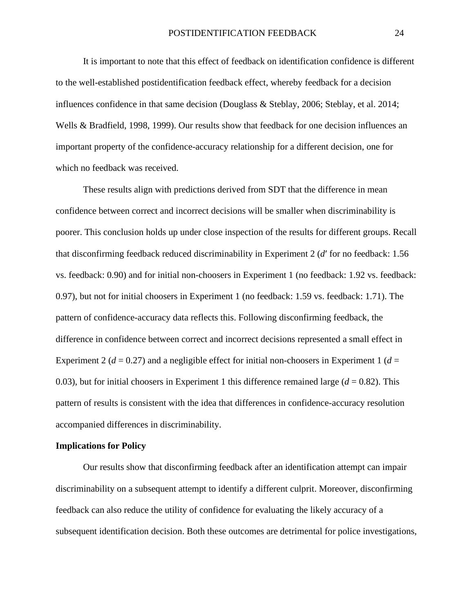It is important to note that this effect of feedback on identification confidence is different to the well-established postidentification feedback effect, whereby feedback for a decision influences confidence in that same decision (Douglass & Steblay, 2006; Steblay, et al. 2014; Wells & Bradfield, 1998, 1999). Our results show that feedback for one decision influences an important property of the confidence-accuracy relationship for a different decision, one for which no feedback was received.

These results align with predictions derived from SDT that the difference in mean confidence between correct and incorrect decisions will be smaller when discriminability is poorer. This conclusion holds up under close inspection of the results for different groups. Recall that disconfirming feedback reduced discriminability in Experiment 2 (*d*ʹ for no feedback: 1.56 vs. feedback: 0.90) and for initial non-choosers in Experiment 1 (no feedback: 1.92 vs. feedback: 0.97), but not for initial choosers in Experiment 1 (no feedback: 1.59 vs. feedback: 1.71). The pattern of confidence-accuracy data reflects this. Following disconfirming feedback, the difference in confidence between correct and incorrect decisions represented a small effect in Experiment 2 ( $d = 0.27$ ) and a negligible effect for initial non-choosers in Experiment 1 ( $d =$ 0.03), but for initial choosers in Experiment 1 this difference remained large  $(d = 0.82)$ . This pattern of results is consistent with the idea that differences in confidence-accuracy resolution accompanied differences in discriminability.

#### **Implications for Policy**

Our results show that disconfirming feedback after an identification attempt can impair discriminability on a subsequent attempt to identify a different culprit. Moreover, disconfirming feedback can also reduce the utility of confidence for evaluating the likely accuracy of a subsequent identification decision. Both these outcomes are detrimental for police investigations,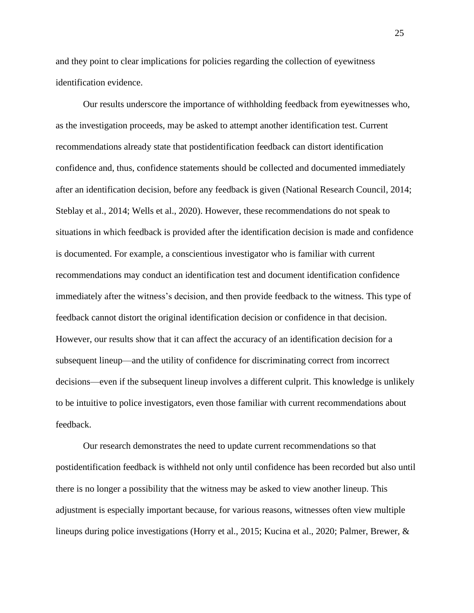and they point to clear implications for policies regarding the collection of eyewitness identification evidence.

Our results underscore the importance of withholding feedback from eyewitnesses who, as the investigation proceeds, may be asked to attempt another identification test. Current recommendations already state that postidentification feedback can distort identification confidence and, thus, confidence statements should be collected and documented immediately after an identification decision, before any feedback is given (National Research Council, 2014; Steblay et al., 2014; Wells et al., 2020). However, these recommendations do not speak to situations in which feedback is provided after the identification decision is made and confidence is documented. For example, a conscientious investigator who is familiar with current recommendations may conduct an identification test and document identification confidence immediately after the witness's decision, and then provide feedback to the witness. This type of feedback cannot distort the original identification decision or confidence in that decision. However, our results show that it can affect the accuracy of an identification decision for a subsequent lineup—and the utility of confidence for discriminating correct from incorrect decisions—even if the subsequent lineup involves a different culprit. This knowledge is unlikely to be intuitive to police investigators, even those familiar with current recommendations about feedback.

Our research demonstrates the need to update current recommendations so that postidentification feedback is withheld not only until confidence has been recorded but also until there is no longer a possibility that the witness may be asked to view another lineup. This adjustment is especially important because, for various reasons, witnesses often view multiple lineups during police investigations (Horry et al., 2015; Kucina et al., 2020; Palmer, Brewer, &

25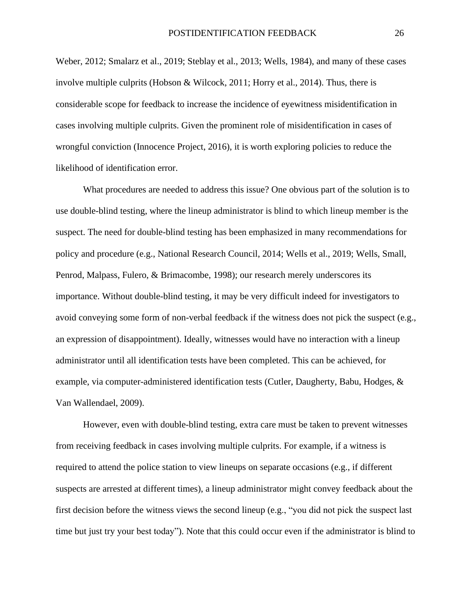Weber, 2012; Smalarz et al., 2019; Steblay et al., 2013; Wells, 1984), and many of these cases involve multiple culprits (Hobson & Wilcock, 2011; Horry et al., 2014). Thus, there is considerable scope for feedback to increase the incidence of eyewitness misidentification in cases involving multiple culprits. Given the prominent role of misidentification in cases of wrongful conviction (Innocence Project, 2016), it is worth exploring policies to reduce the likelihood of identification error.

What procedures are needed to address this issue? One obvious part of the solution is to use double-blind testing, where the lineup administrator is blind to which lineup member is the suspect. The need for double-blind testing has been emphasized in many recommendations for policy and procedure (e.g., National Research Council, 2014; Wells et al., 2019; Wells, Small, Penrod, Malpass, Fulero, & Brimacombe, 1998); our research merely underscores its importance. Without double-blind testing, it may be very difficult indeed for investigators to avoid conveying some form of non-verbal feedback if the witness does not pick the suspect (e.g., an expression of disappointment). Ideally, witnesses would have no interaction with a lineup administrator until all identification tests have been completed. This can be achieved, for example, via computer-administered identification tests (Cutler, Daugherty, Babu, Hodges, & Van Wallendael, 2009).

However, even with double-blind testing, extra care must be taken to prevent witnesses from receiving feedback in cases involving multiple culprits. For example, if a witness is required to attend the police station to view lineups on separate occasions (e.g., if different suspects are arrested at different times), a lineup administrator might convey feedback about the first decision before the witness views the second lineup (e.g., "you did not pick the suspect last time but just try your best today"). Note that this could occur even if the administrator is blind to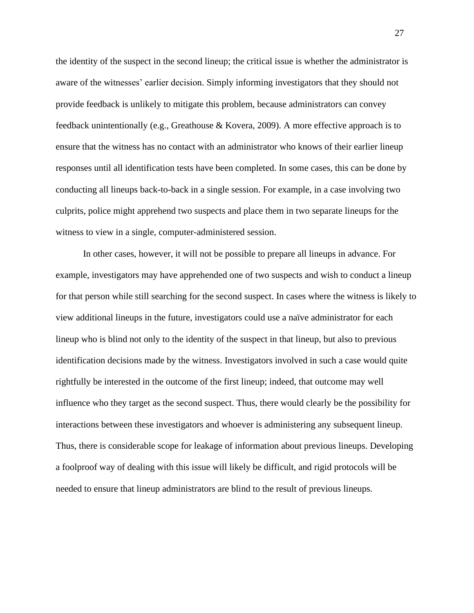the identity of the suspect in the second lineup; the critical issue is whether the administrator is aware of the witnesses' earlier decision. Simply informing investigators that they should not provide feedback is unlikely to mitigate this problem, because administrators can convey feedback unintentionally (e.g., Greathouse & Kovera, 2009). A more effective approach is to ensure that the witness has no contact with an administrator who knows of their earlier lineup responses until all identification tests have been completed. In some cases, this can be done by conducting all lineups back-to-back in a single session. For example, in a case involving two culprits, police might apprehend two suspects and place them in two separate lineups for the witness to view in a single, computer-administered session.

In other cases, however, it will not be possible to prepare all lineups in advance. For example, investigators may have apprehended one of two suspects and wish to conduct a lineup for that person while still searching for the second suspect. In cases where the witness is likely to view additional lineups in the future, investigators could use a naïve administrator for each lineup who is blind not only to the identity of the suspect in that lineup, but also to previous identification decisions made by the witness. Investigators involved in such a case would quite rightfully be interested in the outcome of the first lineup; indeed, that outcome may well influence who they target as the second suspect. Thus, there would clearly be the possibility for interactions between these investigators and whoever is administering any subsequent lineup. Thus, there is considerable scope for leakage of information about previous lineups. Developing a foolproof way of dealing with this issue will likely be difficult, and rigid protocols will be needed to ensure that lineup administrators are blind to the result of previous lineups.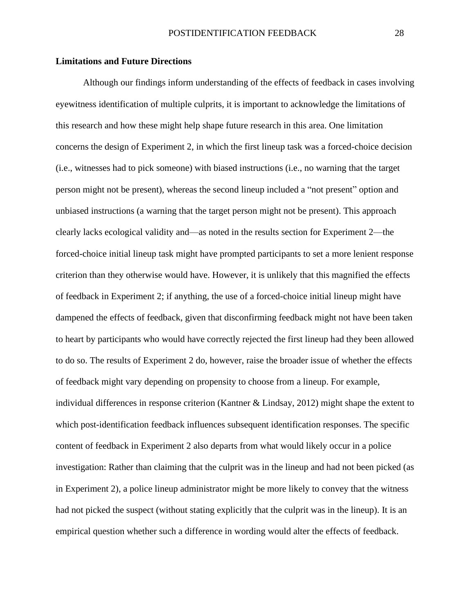#### **Limitations and Future Directions**

Although our findings inform understanding of the effects of feedback in cases involving eyewitness identification of multiple culprits, it is important to acknowledge the limitations of this research and how these might help shape future research in this area. One limitation concerns the design of Experiment 2, in which the first lineup task was a forced-choice decision (i.e., witnesses had to pick someone) with biased instructions (i.e., no warning that the target person might not be present), whereas the second lineup included a "not present" option and unbiased instructions (a warning that the target person might not be present). This approach clearly lacks ecological validity and—as noted in the results section for Experiment 2—the forced-choice initial lineup task might have prompted participants to set a more lenient response criterion than they otherwise would have. However, it is unlikely that this magnified the effects of feedback in Experiment 2; if anything, the use of a forced-choice initial lineup might have dampened the effects of feedback, given that disconfirming feedback might not have been taken to heart by participants who would have correctly rejected the first lineup had they been allowed to do so. The results of Experiment 2 do, however, raise the broader issue of whether the effects of feedback might vary depending on propensity to choose from a lineup. For example, individual differences in response criterion (Kantner & Lindsay, 2012) might shape the extent to which post-identification feedback influences subsequent identification responses. The specific content of feedback in Experiment 2 also departs from what would likely occur in a police investigation: Rather than claiming that the culprit was in the lineup and had not been picked (as in Experiment 2), a police lineup administrator might be more likely to convey that the witness had not picked the suspect (without stating explicitly that the culprit was in the lineup). It is an empirical question whether such a difference in wording would alter the effects of feedback.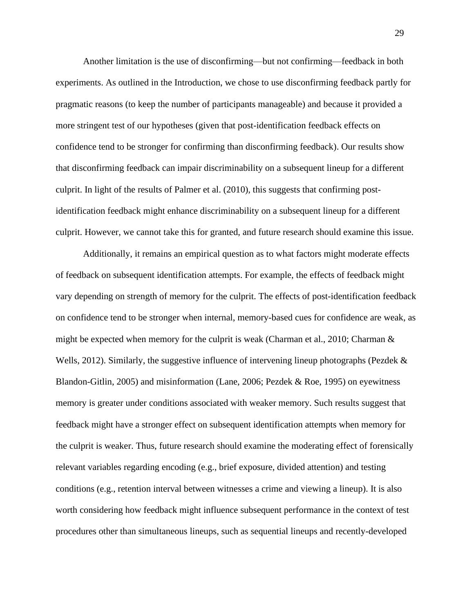Another limitation is the use of disconfirming—but not confirming—feedback in both experiments. As outlined in the Introduction, we chose to use disconfirming feedback partly for pragmatic reasons (to keep the number of participants manageable) and because it provided a more stringent test of our hypotheses (given that post-identification feedback effects on confidence tend to be stronger for confirming than disconfirming feedback). Our results show that disconfirming feedback can impair discriminability on a subsequent lineup for a different culprit. In light of the results of Palmer et al. (2010), this suggests that confirming postidentification feedback might enhance discriminability on a subsequent lineup for a different culprit. However, we cannot take this for granted, and future research should examine this issue.

Additionally, it remains an empirical question as to what factors might moderate effects of feedback on subsequent identification attempts. For example, the effects of feedback might vary depending on strength of memory for the culprit. The effects of post-identification feedback on confidence tend to be stronger when internal, memory-based cues for confidence are weak, as might be expected when memory for the culprit is weak (Charman et al., 2010; Charman & Wells, 2012). Similarly, the suggestive influence of intervening lineup photographs (Pezdek  $\&$ Blandon-Gitlin, 2005) and misinformation (Lane, 2006; Pezdek & Roe, 1995) on eyewitness memory is greater under conditions associated with weaker memory. Such results suggest that feedback might have a stronger effect on subsequent identification attempts when memory for the culprit is weaker. Thus, future research should examine the moderating effect of forensically relevant variables regarding encoding (e.g., brief exposure, divided attention) and testing conditions (e.g., retention interval between witnesses a crime and viewing a lineup). It is also worth considering how feedback might influence subsequent performance in the context of test procedures other than simultaneous lineups, such as sequential lineups and recently-developed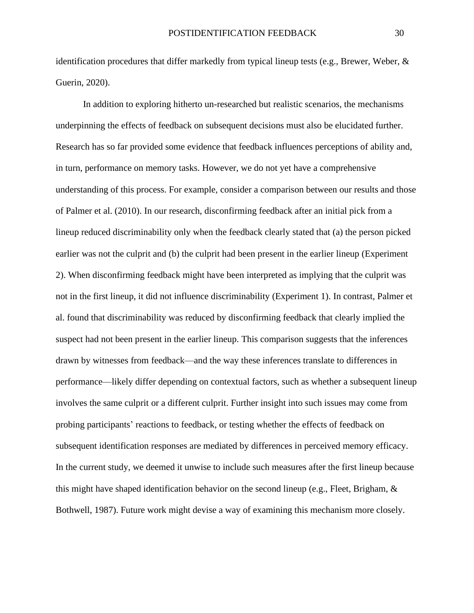identification procedures that differ markedly from typical lineup tests (e.g., Brewer, Weber, & Guerin, 2020).

In addition to exploring hitherto un-researched but realistic scenarios, the mechanisms underpinning the effects of feedback on subsequent decisions must also be elucidated further. Research has so far provided some evidence that feedback influences perceptions of ability and, in turn, performance on memory tasks. However, we do not yet have a comprehensive understanding of this process. For example, consider a comparison between our results and those of Palmer et al. (2010). In our research, disconfirming feedback after an initial pick from a lineup reduced discriminability only when the feedback clearly stated that (a) the person picked earlier was not the culprit and (b) the culprit had been present in the earlier lineup (Experiment 2). When disconfirming feedback might have been interpreted as implying that the culprit was not in the first lineup, it did not influence discriminability (Experiment 1). In contrast, Palmer et al. found that discriminability was reduced by disconfirming feedback that clearly implied the suspect had not been present in the earlier lineup. This comparison suggests that the inferences drawn by witnesses from feedback—and the way these inferences translate to differences in performance—likely differ depending on contextual factors, such as whether a subsequent lineup involves the same culprit or a different culprit. Further insight into such issues may come from probing participants' reactions to feedback, or testing whether the effects of feedback on subsequent identification responses are mediated by differences in perceived memory efficacy. In the current study, we deemed it unwise to include such measures after the first lineup because this might have shaped identification behavior on the second lineup (e.g., Fleet, Brigham, & Bothwell, 1987). Future work might devise a way of examining this mechanism more closely.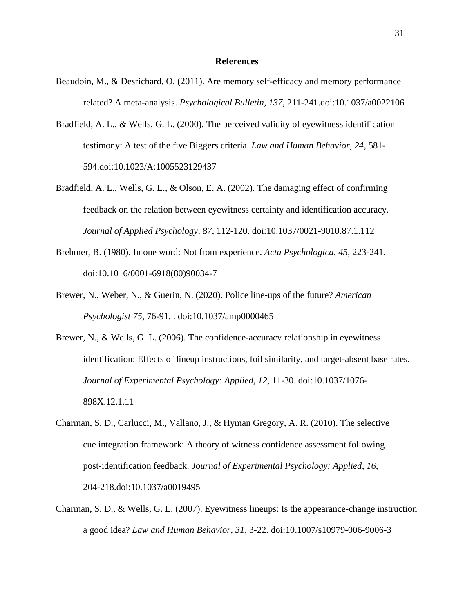#### **References**

- Beaudoin, M., & Desrichard, O. (2011). Are memory self-efficacy and memory performance related? A meta-analysis. *Psychological Bulletin*, *137*, 211-241.doi:10.1037/a0022106
- Bradfield, A. L., & Wells, G. L. (2000). The perceived validity of eyewitness identification testimony: A test of the five Biggers criteria. *Law and Human Behavior, 24*, 581- 594.doi:10.1023/A:1005523129437
- Bradfield, A. L., Wells, G. L., & Olson, E. A. (2002). The damaging effect of confirming feedback on the relation between eyewitness certainty and identification accuracy. *Journal of Applied Psychology, 87*, 112-120. doi:10.1037/0021-9010.87.1.112
- Brehmer, B. (1980). In one word: Not from experience. *Acta Psychologica, 45*, 223-241. doi:10.1016/0001-6918(80)90034-7
- Brewer, N., Weber, N., & Guerin, N. (2020). Police line-ups of the future? *American Psychologist 75*, 76-91. . doi:10.1037/amp0000465
- Brewer, N., & Wells, G. L. (2006). The confidence-accuracy relationship in eyewitness identification: Effects of lineup instructions, foil similarity, and target-absent base rates. *Journal of Experimental Psychology: Applied, 12*, 11-30. doi:10.1037/1076- 898X.12.1.11
- Charman, S. D., Carlucci, M., Vallano, J., & Hyman Gregory, A. R. (2010). The selective cue integration framework: A theory of witness confidence assessment following post-identification feedback. *Journal of Experimental Psychology: Applied*, *16*, 204-218.doi:10.1037/a0019495
- Charman, S. D., & Wells, G. L. (2007). Eyewitness lineups: Is the appearance-change instruction a good idea? *Law and Human Behavior*, *31*, 3-22. doi:10.1007/s10979-006-9006-3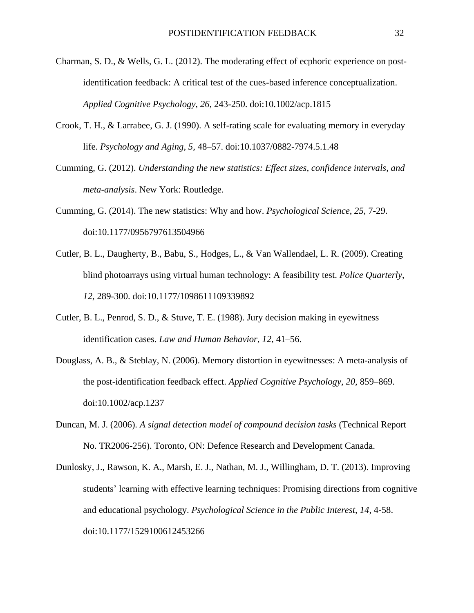- Charman, S. D., & Wells, G. L. (2012). The moderating effect of ecphoric experience on postidentification feedback: A critical test of the cues-based inference conceptualization. *Applied Cognitive Psychology*, *26*, 243-250. doi:10.1002/acp.1815
- Crook, T. H., & Larrabee, G. J. (1990). A self-rating scale for evaluating memory in everyday life. *Psychology and Aging, 5,* 48–57. doi:10.1037/0882-7974.5.1.48
- Cumming, G. (2012). *Understanding the new statistics: Effect sizes, confidence intervals, and meta-analysis*. New York: Routledge.
- Cumming, G. (2014). The new statistics: Why and how. *Psychological Science*, *25*, 7-29. doi:10.1177/0956797613504966
- Cutler, B. L., Daugherty, B., Babu, S., Hodges, L., & Van Wallendael, L. R. (2009). Creating blind photoarrays using virtual human technology: A feasibility test. *Police Quarterly*, *12*, 289-300. doi:10.1177/1098611109339892
- Cutler, B. L., Penrod, S. D., & Stuve, T. E. (1988). Jury decision making in eyewitness identification cases. *Law and Human Behavior*, *12*, 41–56.
- Douglass, A. B., & Steblay, N. (2006). Memory distortion in eyewitnesses: A meta-analysis of the post-identification feedback effect. *Applied Cognitive Psychology*, *20*, 859–869. doi:10.1002/acp.1237
- Duncan, M. J. (2006). *A signal detection model of compound decision tasks* (Technical Report No. TR2006-256). Toronto, ON: Defence Research and Development Canada.
- Dunlosky, J., Rawson, K. A., Marsh, E. J., Nathan, M. J., Willingham, D. T. (2013). Improving students' learning with effective learning techniques: Promising directions from cognitive and educational psychology. *Psychological Science in the Public Interest*, *14*, 4-58. doi:10.1177/1529100612453266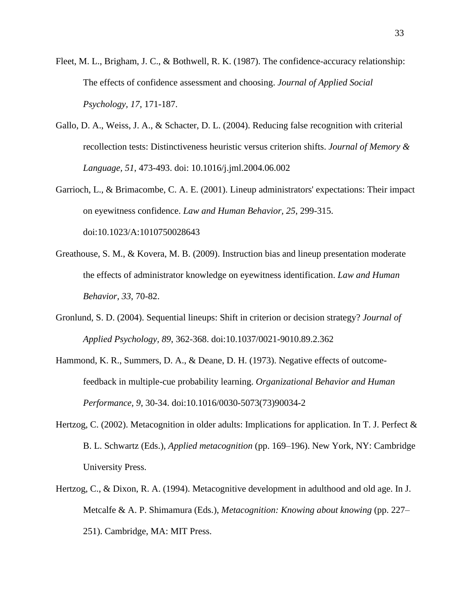- Fleet, M. L., Brigham, J. C., & Bothwell, R. K. (1987). The confidence-accuracy relationship: The effects of confidence assessment and choosing. *Journal of Applied Social Psychology, 17*, 171-187.
- Gallo, D. A., Weiss, J. A., & Schacter, D. L. (2004). Reducing false recognition with criterial recollection tests: Distinctiveness heuristic versus criterion shifts. *Journal of Memory & Language, 51*, 473-493. doi: 10.1016/j.jml.2004.06.002
- Garrioch, L., & Brimacombe, C. A. E. (2001). Lineup administrators' expectations: Their impact on eyewitness confidence. *Law and Human Behavior, 25*, 299-315. doi:10.1023/A:1010750028643
- Greathouse, S. M., & Kovera, M. B. (2009). Instruction bias and lineup presentation moderate the effects of administrator knowledge on eyewitness identification. *Law and Human Behavior*, *33*, 70-82.
- Gronlund, S. D. (2004). Sequential lineups: Shift in criterion or decision strategy? *Journal of Applied Psychology, 89*, 362-368. doi:10.1037/0021-9010.89.2.362
- Hammond, K. R., Summers, D. A., & Deane, D. H. (1973). Negative effects of outcomefeedback in multiple-cue probability learning. *Organizational Behavior and Human Performance, 9*, 30-34. doi:10.1016/0030-5073(73)90034-2
- Hertzog, C. (2002). Metacognition in older adults: Implications for application. In T. J. Perfect & B. L. Schwartz (Eds.), *Applied metacognition* (pp. 169–196). New York, NY: Cambridge University Press.
- Hertzog, C., & Dixon, R. A. (1994). Metacognitive development in adulthood and old age. In J. Metcalfe & A. P. Shimamura (Eds.), *Metacognition: Knowing about knowing* (pp. 227– 251). Cambridge, MA: MIT Press.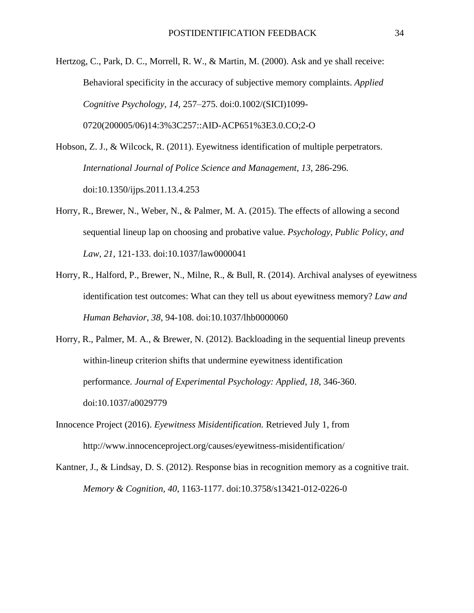Hertzog, C., Park, D. C., Morrell, R. W., & Martin, M. (2000). Ask and ye shall receive: Behavioral specificity in the accuracy of subjective memory complaints. *Applied Cognitive Psychology, 14,* 257–275. doi:0.1002/(SICI)1099- 0720(200005/06)14:3%3C257::AID-ACP651%3E3.0.CO;2-O

Hobson, Z. J., & Wilcock, R. (2011). Eyewitness identification of multiple perpetrators. *International Journal of Police Science and Management*, *13*, 286-296. doi:10.1350/ijps.2011.13.4.253

- Horry, R., Brewer, N., Weber, N., & Palmer, M. A. (2015). The effects of allowing a second sequential lineup lap on choosing and probative value. *Psychology, Public Policy, and Law*, *21*, 121-133. doi:10.1037/law0000041
- Horry, R., Halford, P., Brewer, N., Milne, R., & Bull, R. (2014). Archival analyses of eyewitness identification test outcomes: What can they tell us about eyewitness memory? *Law and Human Behavior*, *38*, 94-108. doi:10.1037/lhb0000060
- Horry, R., Palmer, M. A., & Brewer, N. (2012). Backloading in the sequential lineup prevents within-lineup criterion shifts that undermine eyewitness identification performance. *Journal of Experimental Psychology: Applied*, *18*, 346-360. doi:10.1037/a0029779
- Innocence Project (2016). *Eyewitness Misidentification.* Retrieved July 1, from http://www.innocenceproject.org/causes/eyewitness-misidentification/
- Kantner, J., & Lindsay, D. S. (2012). Response bias in recognition memory as a cognitive trait. *Memory & Cognition, 40*, 1163-1177. doi:10.3758/s13421-012-0226-0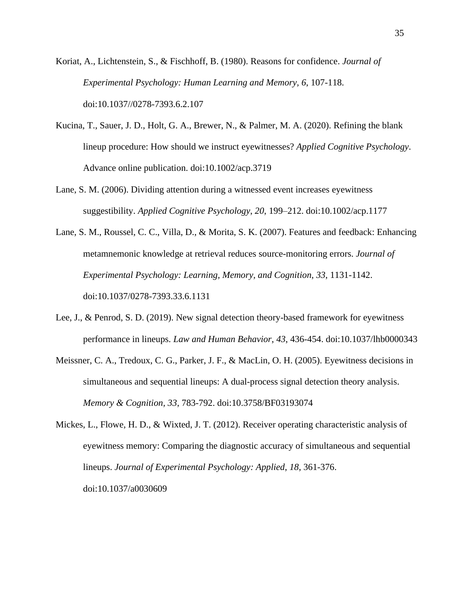Koriat, A., Lichtenstein, S., & Fischhoff, B. (1980). Reasons for confidence. *Journal of Experimental Psychology: Human Learning and Memory, 6*, 107-118. doi:10.1037//0278-7393.6.2.107

- Kucina, T., Sauer, J. D., Holt, G. A., Brewer, N., & Palmer, M. A. (2020). Refining the blank lineup procedure: How should we instruct eyewitnesses? *Applied Cognitive Psychology*. Advance online publication. doi:10.1002/acp.3719
- Lane, S. M. (2006). Dividing attention during a witnessed event increases eyewitness suggestibility. *Applied Cognitive Psychology*, *20*, 199–212. doi:10.1002/acp.1177
- Lane, S. M., Roussel, C. C., Villa, D., & Morita, S. K. (2007). Features and feedback: Enhancing metamnemonic knowledge at retrieval reduces source-monitoring errors. *Journal of Experimental Psychology: Learning, Memory, and Cognition*, *33*, 1131-1142. doi:10.1037/0278-7393.33.6.1131
- Lee, J., & Penrod, S. D. (2019). New signal detection theory-based framework for eyewitness performance in lineups. *Law and Human Behavior*, *43*, 436-454. doi:10.1037/lhb0000343
- Meissner, C. A., Tredoux, C. G., Parker, J. F., & MacLin, O. H. (2005). Eyewitness decisions in simultaneous and sequential lineups: A dual-process signal detection theory analysis. *Memory & Cognition, 33*, 783-792. doi:10.3758/BF03193074
- Mickes, L., Flowe, H. D., & Wixted, J. T. (2012). Receiver operating characteristic analysis of eyewitness memory: Comparing the diagnostic accuracy of simultaneous and sequential lineups. *Journal of Experimental Psychology: Applied*, *18*, 361-376. doi:10.1037/a0030609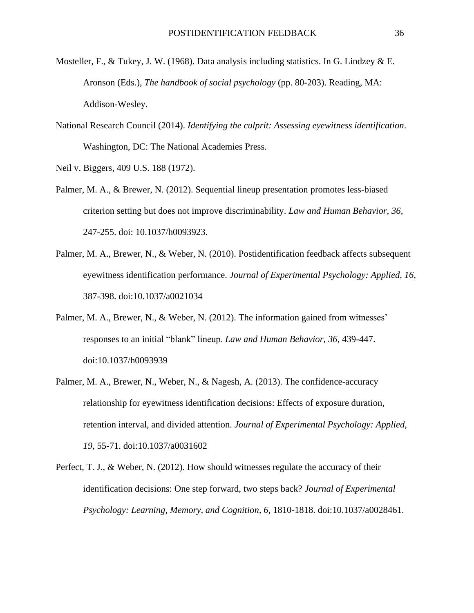- Mosteller, F., & Tukey, J. W. (1968). Data analysis including statistics. In G. Lindzey & E. Aronson (Eds.), *The handbook of social psychology* (pp. 80-203). Reading, MA: Addison-Wesley.
- National Research Council (2014). *Identifying the culprit: Assessing eyewitness identification*. Washington, DC: The National Academies Press.

Neil v. Biggers, 409 U.S. 188 (1972).

- Palmer, M. A., & Brewer, N. (2012). Sequential lineup presentation promotes less-biased criterion setting but does not improve discriminability. *Law and Human Behavior, 36,*  247-255. doi: 10.1037/h0093923.
- Palmer, M. A., Brewer, N., & Weber, N. (2010). Postidentification feedback affects subsequent eyewitness identification performance. *Journal of Experimental Psychology: Applied, 16,* 387-398. doi:10.1037/a0021034
- Palmer, M. A., Brewer, N., & Weber, N. (2012). The information gained from witnesses' responses to an initial "blank" lineup. *Law and Human Behavior*, *36*, 439-447. doi:10.1037/h0093939
- Palmer, M. A., Brewer, N., Weber, N., & Nagesh, A. (2013). The confidence-accuracy relationship for eyewitness identification decisions: Effects of exposure duration, retention interval, and divided attention. *Journal of Experimental Psychology: Applied*, *19*, 55-71. doi:10.1037/a0031602
- Perfect, T. J., & Weber, N. (2012). How should witnesses regulate the accuracy of their identification decisions: One step forward, two steps back? *Journal of Experimental Psychology: Learning, Memory, and Cognition, 6,* 1810-1818. doi:10.1037/a0028461.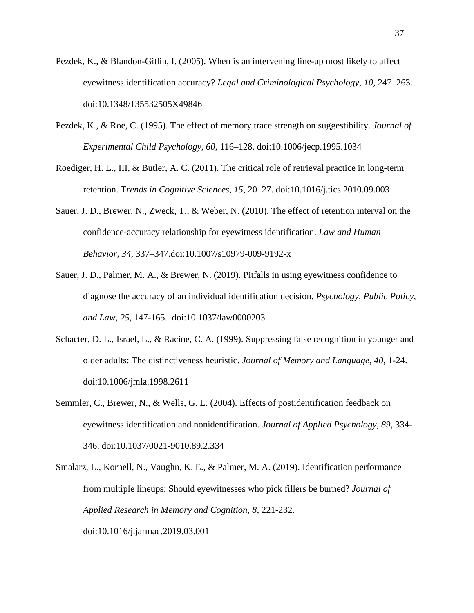- Pezdek, K., & Blandon-Gitlin, I. (2005). When is an intervening line-up most likely to affect eyewitness identification accuracy? *Legal and Criminological Psychology*, *10*, 247–263. doi:10.1348/135532505X49846
- Pezdek, K., & Roe, C. (1995). The effect of memory trace strength on suggestibility. *Journal of Experimental Child Psychology*, *60*, 116–128. doi:10.1006/jecp.1995.1034
- Roediger, H. L., III, & Butler, A. C. (2011). The critical role of retrieval practice in long-term retention. T*rends in Cognitive Sciences*, *15*, 20–27. doi:10.1016/j.tics.2010.09.003
- Sauer, J. D., Brewer, N., Zweck, T., & Weber, N. (2010). The effect of retention interval on the confidence-accuracy relationship for eyewitness identification. *Law and Human Behavior*, *34*, 337–347.doi:10.1007/s10979-009-9192-x
- Sauer, J. D., Palmer, M. A., & Brewer, N. (2019). Pitfalls in using eyewitness confidence to diagnose the accuracy of an individual identification decision. *Psychology, Public Policy, and Law, 25*, 147-165. doi:10.1037/law0000203
- Schacter, D. L., Israel, L., & Racine, C. A. (1999). Suppressing false recognition in younger and older adults: The distinctiveness heuristic. *Journal of Memory and Language, 40*, 1-24. doi:10.1006/jmla.1998.2611
- Semmler, C., Brewer, N., & Wells, G. L. (2004). Effects of postidentification feedback on eyewitness identification and nonidentification. *Journal of Applied Psychology, 89*, 334- 346. doi:10.1037/0021-9010.89.2.334
- Smalarz, L., Kornell, N., Vaughn, K. E., & Palmer, M. A. (2019). Identification performance from multiple lineups: Should eyewitnesses who pick fillers be burned? *Journal of Applied Research in Memory and Cognition*, *8*, 221-232. doi:10.1016/j.jarmac.2019.03.001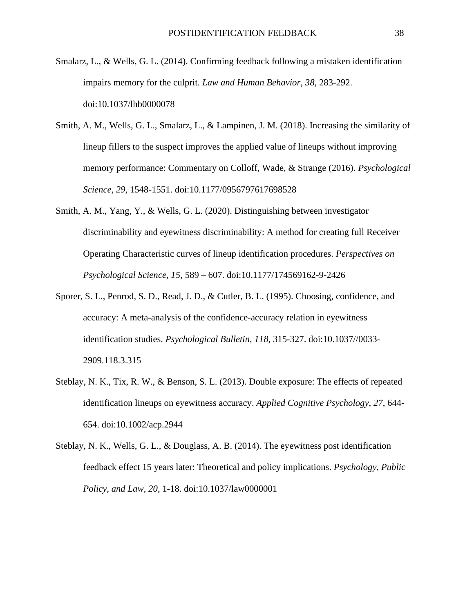- Smalarz, L., & Wells, G. L. (2014). Confirming feedback following a mistaken identification impairs memory for the culprit. *Law and Human Behavior*, *38*, 283-292. doi:10.1037/lhb0000078
- Smith, A. M., Wells, G. L., Smalarz, L., & Lampinen, J. M. (2018). Increasing the similarity of lineup fillers to the suspect improves the applied value of lineups without improving memory performance: Commentary on Colloff, Wade, & Strange (2016). *Psychological Science*, *29*, 1548-1551. doi:10.1177/0956797617698528
- Smith, A. M., Yang, Y., & Wells, G. L. (2020). Distinguishing between investigator discriminability and eyewitness discriminability: A method for creating full Receiver Operating Characteristic curves of lineup identification procedures. *Perspectives on Psychological Science, 15*, 589 – 607. doi:10.1177/174569162-9-2426
- Sporer, S. L., Penrod, S. D., Read, J. D., & Cutler, B. L. (1995). Choosing, confidence, and accuracy: A meta-analysis of the confidence-accuracy relation in eyewitness identification studies. *Psychological Bulletin, 118*, 315-327. doi:10.1037//0033- 2909.118.3.315
- Steblay, N. K., Tix, R. W., & Benson, S. L. (2013). Double exposure: The effects of repeated identification lineups on eyewitness accuracy. *Applied Cognitive Psychology*, *27*, 644- 654. doi:10.1002/acp.2944
- Steblay, N. K., Wells, G. L., & Douglass, A. B. (2014). The eyewitness post identification feedback effect 15 years later: Theoretical and policy implications. *Psychology, Public Policy, and Law*, *20*, 1-18. doi:10.1037/law0000001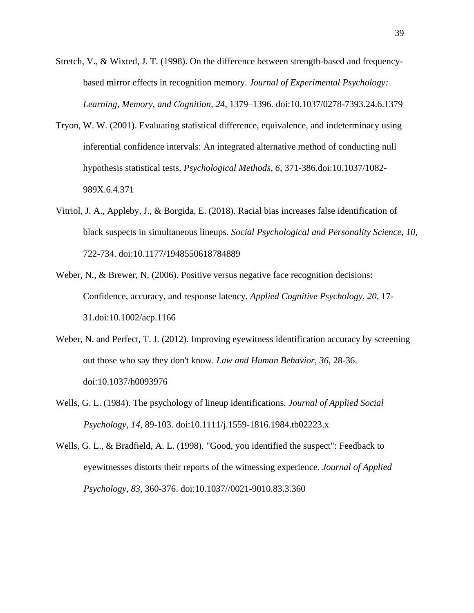- Stretch, V., & Wixted, J. T. (1998). On the difference between strength-based and frequencybased mirror effects in recognition memory. *Journal of Experimental Psychology: Learning, Memory, and Cognition, 24,* 1379–1396. doi:10.1037/0278-7393.24.6.1379
- Tryon, W. W. (2001). Evaluating statistical difference, equivalence, and indeterminacy using inferential confidence intervals: An integrated alternative method of conducting null hypothesis statistical tests. *Psychological Methods, 6*, 371-386.doi:10.1037/1082- 989X.6.4.371
- Vitriol, J. A., Appleby, J., & Borgida, E. (2018). Racial bias increases false identification of black suspects in simultaneous lineups. *Social Psychological and Personality Science*, *10*, 722-734. doi:10.1177/1948550618784889
- Weber, N., & Brewer, N. (2006). Positive versus negative face recognition decisions: Confidence, accuracy, and response latency. *Applied Cognitive Psychology, 20*, 17- 31.doi:10.1002/acp.1166
- Weber, N. and Perfect, T. J. (2012). Improving eyewitness identification accuracy by screening out those who say they don't know. *Law and Human Behavior*, *36*, 28-36. doi:10.1037/h0093976
- Wells, G. L. (1984). The psychology of lineup identifications. *Journal of Applied Social Psychology, 14*, 89-103. doi:10.1111/j.1559-1816.1984.tb02223.x
- Wells, G. L., & Bradfield, A. L. (1998). "Good, you identified the suspect": Feedback to eyewitnesses distorts their reports of the witnessing experience. *Journal of Applied Psychology, 83*, 360-376. doi:10.1037//0021-9010.83.3.360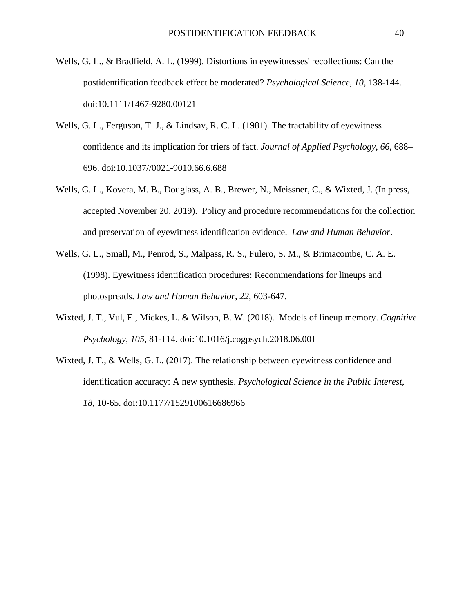- Wells, G. L., & Bradfield, A. L. (1999). Distortions in eyewitnesses' recollections: Can the postidentification feedback effect be moderated? *Psychological Science, 10*, 138-144. doi:10.1111/1467-9280.00121
- Wells, G. L., Ferguson, T. J., & Lindsay, R. C. L. (1981). The tractability of eyewitness confidence and its implication for triers of fact. *Journal of Applied Psychology*, *66*, 688– 696. doi:10.1037//0021-9010.66.6.688
- Wells, G. L., Kovera, M. B., Douglass, A. B., Brewer, N., Meissner, C., & Wixted, J. (In press, accepted November 20, 2019). Policy and procedure recommendations for the collection and preservation of eyewitness identification evidence. *Law and Human Behavior*.
- Wells, G. L., Small, M., Penrod, S., Malpass, R. S., Fulero, S. M., & Brimacombe, C. A. E. (1998). Eyewitness identification procedures: Recommendations for lineups and photospreads. *Law and Human Behavior, 22*, 603-647.
- Wixted, J. T., Vul, E., Mickes, L. & Wilson, B. W. (2018). Models of lineup memory. *Cognitive Psychology, 105*, 81-114. doi:10.1016/j.cogpsych.2018.06.001
- Wixted, J. T., & Wells, G. L. (2017). The relationship between eyewitness confidence and identification accuracy: A new synthesis. *Psychological Science in the Public Interest, 18*, 10-65. doi:10.1177/1529100616686966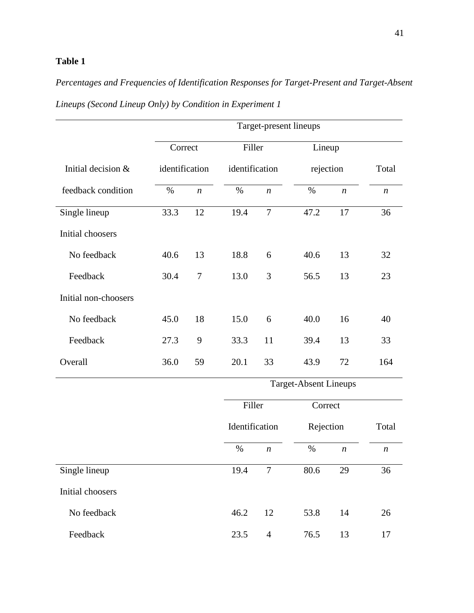# **Table 1**

# *Percentages and Frequencies of Identification Responses for Target-Present and Target-Absent Lineups (Second Lineup Only) by Condition in Experiment 1*

|                      | Correct        |                  | Filler         |                  | Lineup                       |                  |                  |
|----------------------|----------------|------------------|----------------|------------------|------------------------------|------------------|------------------|
| Initial decision &   | identification |                  | identification |                  | rejection                    | Total            |                  |
| feedback condition   | %              | $\boldsymbol{n}$ | $\%$           | $\boldsymbol{n}$ | $\%$                         | $\boldsymbol{n}$ | $\boldsymbol{n}$ |
| Single lineup        | 33.3           | 12               | 19.4           | $\tau$           | 47.2                         | 17               | 36               |
| Initial choosers     |                |                  |                |                  |                              |                  |                  |
| No feedback          | 40.6           | 13               | 18.8           | 6                | 40.6                         | 13               | 32               |
| Feedback             | 30.4           | 7                | 13.0           | 3                | 56.5                         | 13               | 23               |
| Initial non-choosers |                |                  |                |                  |                              |                  |                  |
| No feedback          | 45.0           | 18               | 15.0           | 6                | 40.0                         | 16               | 40               |
| Feedback             | 27.3           | 9                | 33.3           | 11               | 39.4                         | 13               | 33               |
| Overall              | 36.0           | 59               | 20.1           | 33               | 43.9                         | 72               | 164              |
|                      |                |                  |                |                  | <b>Target-Absent Lineups</b> |                  |                  |
|                      |                |                  | Filler         |                  | Correct                      |                  |                  |
|                      |                |                  | Identification |                  | Rejection                    |                  | Total            |
|                      |                |                  | $\%$           | $\boldsymbol{n}$ | $\%$                         | $\boldsymbol{n}$ | $\boldsymbol{n}$ |
| Single lineup        |                |                  | 19.4           | $\tau$           | 80.6                         | 29               | 36               |
| Initial choosers     |                |                  |                |                  |                              |                  |                  |
| No feedback          |                |                  | 46.2           | 12               | 53.8                         | 14               | 26               |
| Feedback             |                |                  | 23.5           | $\overline{4}$   | 76.5                         | 13               | 17               |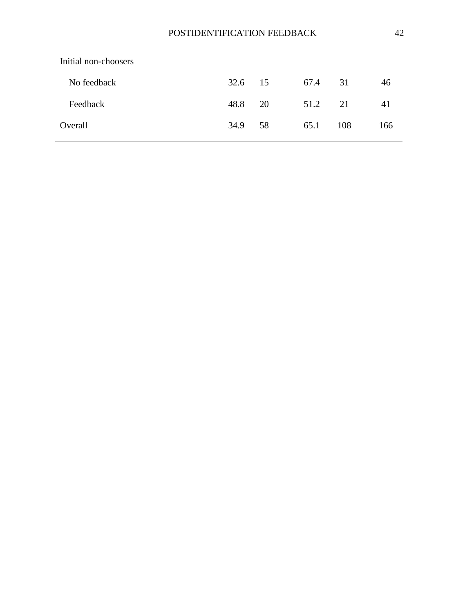| Initial non-choosers |         |    |      |     |     |
|----------------------|---------|----|------|-----|-----|
| No feedback          | 32.6 15 |    | 67.4 | 31  | 46  |
| Feedback             | 48.8    | 20 | 51.2 | 21  | 41  |
| Overall              | 34.9    | 58 | 65.1 | 108 | 166 |
|                      |         |    |      |     |     |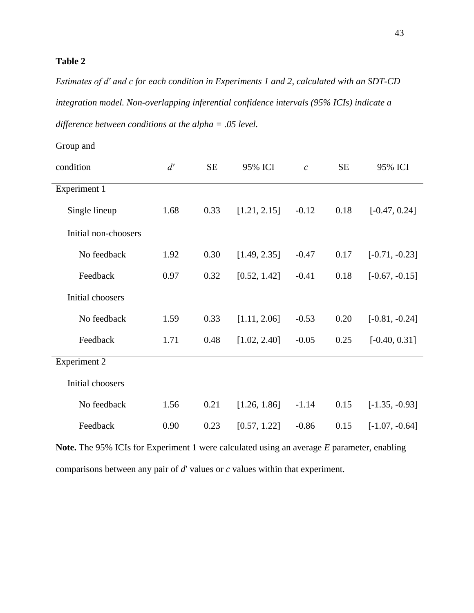# **Table 2**

*Estimates of d′ and c for each condition in Experiments 1 and 2, calculated with an SDT-CD integration model. Non-overlapping inferential confidence intervals (95% ICIs) indicate a difference between conditions at the alpha = .05 level.*

| Group and            |      |           |              |                  |           |                  |
|----------------------|------|-----------|--------------|------------------|-----------|------------------|
| condition            | d'   | <b>SE</b> | 95% ICI      | $\boldsymbol{c}$ | <b>SE</b> | 95% ICI          |
| Experiment 1         |      |           |              |                  |           |                  |
| Single lineup        | 1.68 | 0.33      | [1.21, 2.15] | $-0.12$          | 0.18      | $[-0.47, 0.24]$  |
| Initial non-choosers |      |           |              |                  |           |                  |
| No feedback          | 1.92 | 0.30      | [1.49, 2.35] | $-0.47$          | 0.17      | $[-0.71, -0.23]$ |
| Feedback             | 0.97 | 0.32      | [0.52, 1.42] | $-0.41$          | 0.18      | $[-0.67, -0.15]$ |
| Initial choosers     |      |           |              |                  |           |                  |
| No feedback          | 1.59 | 0.33      | [1.11, 2.06] | $-0.53$          | 0.20      | $[-0.81, -0.24]$ |
| Feedback             | 1.71 | 0.48      | [1.02, 2.40] | $-0.05$          | 0.25      | $[-0.40, 0.31]$  |
| <b>Experiment 2</b>  |      |           |              |                  |           |                  |
| Initial choosers     |      |           |              |                  |           |                  |
| No feedback          | 1.56 | 0.21      | [1.26, 1.86] | $-1.14$          | 0.15      | $[-1.35, -0.93]$ |
| Feedback             | 0.90 | 0.23      | [0.57, 1.22] | $-0.86$          | 0.15      | $[-1.07, -0.64]$ |

**Note.** The 95% ICIs for Experiment 1 were calculated using an average *E* parameter, enabling comparisons between any pair of *d*′ values or *c* values within that experiment.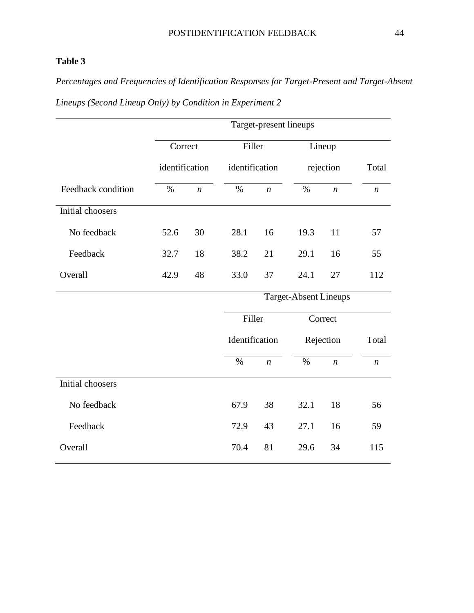# **Table 3**

*Percentages and Frequencies of Identification Responses for Target-Present and Target-Absent* 

|                    | Correct |                  | Filler         |                  | Lineup                       |                  |                  |
|--------------------|---------|------------------|----------------|------------------|------------------------------|------------------|------------------|
|                    |         | identification   |                | identification   | rejection                    | Total            |                  |
| Feedback condition | $\%$    | $\boldsymbol{n}$ | $\%$           | $\boldsymbol{n}$ | $\%$                         | $\boldsymbol{n}$ | $\boldsymbol{n}$ |
| Initial choosers   |         |                  |                |                  |                              |                  |                  |
| No feedback        | 52.6    | 30               | 28.1           | 16               | 19.3                         | 11               | 57               |
| Feedback           | 32.7    | 18               | 38.2           | 21               | 29.1                         | 16               | 55               |
| Overall            | 42.9    | 48               | 33.0           | 37               | 24.1                         | 27               | 112              |
|                    |         |                  |                |                  | <b>Target-Absent Lineups</b> |                  |                  |
|                    |         |                  | Filler         |                  |                              | Correct          |                  |
|                    |         |                  | Identification |                  |                              | Rejection        | Total            |
|                    |         |                  | $\%$           | $\boldsymbol{n}$ | $\%$                         | $\boldsymbol{n}$ | $\boldsymbol{n}$ |
| Initial choosers   |         |                  |                |                  |                              |                  |                  |
| No feedback        |         |                  | 67.9           | 38               | 32.1                         | 18               | 56               |
| Feedback           |         |                  | 72.9           | 43               | 27.1                         | 16               | 59               |
| Overall            |         |                  | 70.4           | 81               | 29.6                         | 34               | 115              |

*Lineups (Second Lineup Only) by Condition in Experiment 2*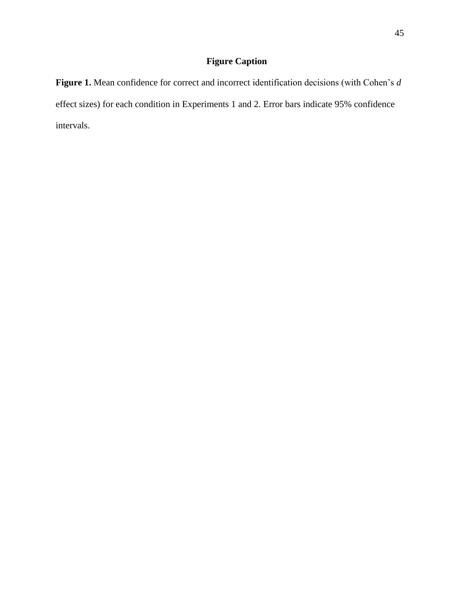# **Figure Caption**

**Figure 1.** Mean confidence for correct and incorrect identification decisions (with Cohen's *d* effect sizes) for each condition in Experiments 1 and 2. Error bars indicate 95% confidence intervals.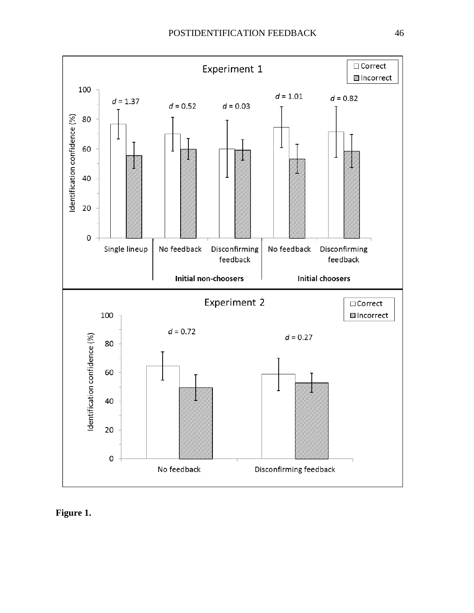

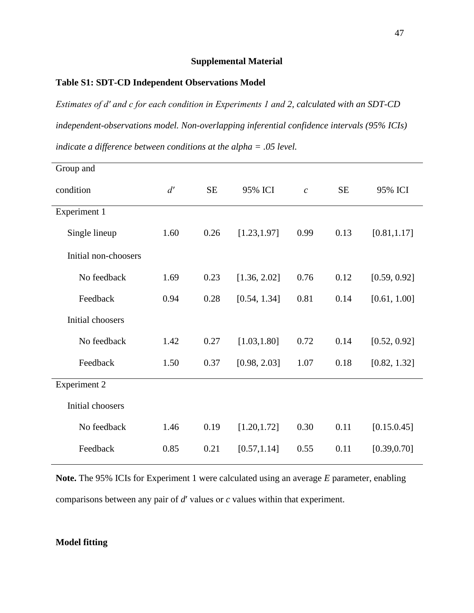### **Supplemental Material**

### **Table S1: SDT-CD Independent Observations Model**

*Estimates of d′ and c for each condition in Experiments 1 and 2, calculated with an SDT-CD independent-observations model. Non-overlapping inferential confidence intervals (95% ICIs) indicate a difference between conditions at the alpha = .05 level.* 

| Group and            |      |           |              |                |           |              |
|----------------------|------|-----------|--------------|----------------|-----------|--------------|
| condition            | d'   | <b>SE</b> | 95% ICI      | $\overline{c}$ | <b>SE</b> | 95% ICI      |
| Experiment 1         |      |           |              |                |           |              |
| Single lineup        | 1.60 | 0.26      | [1.23, 1.97] | 0.99           | 0.13      | [0.81, 1.17] |
| Initial non-choosers |      |           |              |                |           |              |
| No feedback          | 1.69 | 0.23      | [1.36, 2.02] | 0.76           | 0.12      | [0.59, 0.92] |
| Feedback             | 0.94 | 0.28      | [0.54, 1.34] | 0.81           | 0.14      | [0.61, 1.00] |
| Initial choosers     |      |           |              |                |           |              |
| No feedback          | 1.42 | 0.27      | [1.03, 1.80] | 0.72           | 0.14      | [0.52, 0.92] |
| Feedback             | 1.50 | 0.37      | [0.98, 2.03] | 1.07           | 0.18      | [0.82, 1.32] |
| <b>Experiment 2</b>  |      |           |              |                |           |              |
| Initial choosers     |      |           |              |                |           |              |
| No feedback          | 1.46 | 0.19      | [1.20, 1.72] | 0.30           | 0.11      | [0.15.0.45]  |
| Feedback             | 0.85 | 0.21      | [0.57, 1.14] | 0.55           | 0.11      | [0.39, 0.70] |

**Note.** The 95% ICIs for Experiment 1 were calculated using an average *E* parameter, enabling comparisons between any pair of *d*′ values or *c* values within that experiment.

### **Model fitting**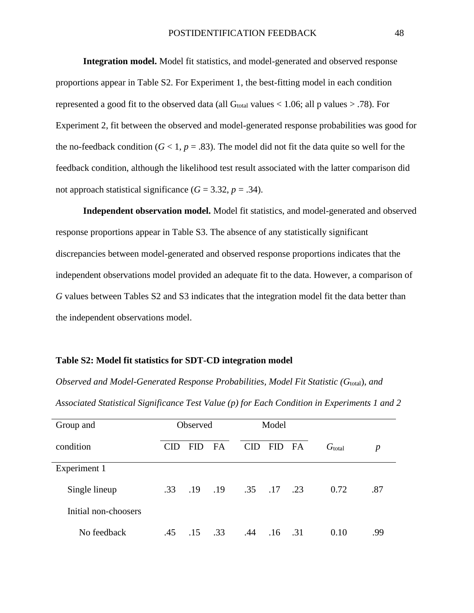**Integration model.** Model fit statistics, and model-generated and observed response proportions appear in Table S2. For Experiment 1, the best-fitting model in each condition represented a good fit to the observed data (all  $G<sub>total</sub>$  values  $< 1.06$ ; all p values  $> .78$ ). For Experiment 2, fit between the observed and model-generated response probabilities was good for the no-feedback condition ( $G$  < 1,  $p$  = .83). The model did not fit the data quite so well for the feedback condition, although the likelihood test result associated with the latter comparison did not approach statistical significance  $(G = 3.32, p = .34)$ .

**Independent observation model.** Model fit statistics, and model-generated and observed response proportions appear in Table S3. The absence of any statistically significant discrepancies between model-generated and observed response proportions indicates that the independent observations model provided an adequate fit to the data. However, a comparison of *G* values between Tables S2 and S3 indicates that the integration model fit the data better than the independent observations model.

#### **Table S2: Model fit statistics for SDT-CD integration model**

*Observed and Model-Generated Response Probabilities, Model Fit Statistic (G*<sub>total</sub>), *and Associated Statistical Significance Test Value (p) for Each Condition in Experiments 1 and 2*

| Group and            | <b>Observed</b> |            | Model     |            |            |     |                    |                  |
|----------------------|-----------------|------------|-----------|------------|------------|-----|--------------------|------------------|
| condition            | CID             | <b>FID</b> | <b>FA</b> | <b>CID</b> | <b>FID</b> | FA  | G <sub>total</sub> | $\boldsymbol{p}$ |
| Experiment 1         |                 |            |           |            |            |     |                    |                  |
| Single lineup        | .33             | .19        | .19       | .35        | .17        | .23 | 0.72               | .87              |
| Initial non-choosers |                 |            |           |            |            |     |                    |                  |
| No feedback          | .45             | .15        | .33       | .44        | .16        | .31 | 0.10               | .99              |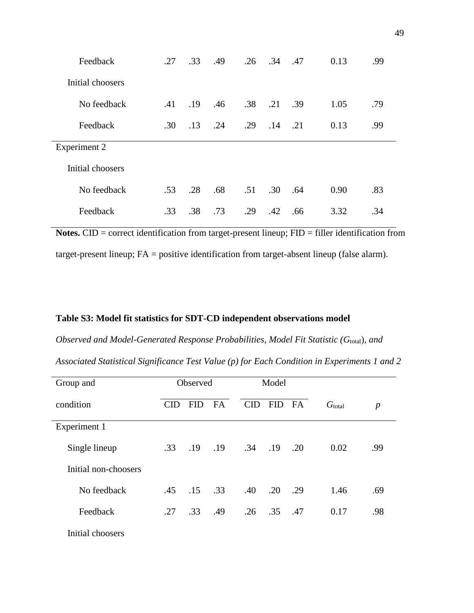| Feedback            | .27 | .33 | .49 | .26 | .34 | .47 | 0.13 | .99 |
|---------------------|-----|-----|-----|-----|-----|-----|------|-----|
| Initial choosers    |     |     |     |     |     |     |      |     |
| No feedback         | .41 | .19 | .46 | .38 | .21 | .39 | 1.05 | .79 |
| Feedback            | .30 | .13 | .24 | .29 | .14 | .21 | 0.13 | .99 |
| <b>Experiment 2</b> |     |     |     |     |     |     |      |     |
| Initial choosers    |     |     |     |     |     |     |      |     |
|                     |     |     |     |     |     |     |      |     |
| No feedback         | .53 | .28 | .68 | .51 | .30 | .64 | 0.90 | .83 |

**Notes.** CID = correct identification from target-present lineup; FID = filler identification from target-present lineup; FA = positive identification from target-absent lineup (false alarm).

#### **Table S3: Model fit statistics for SDT-CD independent observations model**

*Observed and Model-Generated Response Probabilities, Model Fit Statistic (Gtotal), and Associated Statistical Significance Test Value (p) for Each Condition in Experiments 1 and 2*

| Group and            | Observed |             | Model     |            |            |     |                    |                  |
|----------------------|----------|-------------|-----------|------------|------------|-----|--------------------|------------------|
| condition            | CID      | <b>FID</b>  | <b>FA</b> | <b>CID</b> | <b>FID</b> | FA  | G <sub>total</sub> | $\boldsymbol{p}$ |
| Experiment 1         |          |             |           |            |            |     |                    |                  |
| Single lineup        | .33      | $.19$ $.19$ |           | .34        | .19        | .20 | 0.02               | .99              |
| Initial non-choosers |          |             |           |            |            |     |                    |                  |
| No feedback          | .45      | .15         | .33       | .40        | .20        | .29 | 1.46               | .69              |
| Feedback             | .27      | .33         | .49       | .26        | .35        | .47 | 0.17               | .98              |
| Initial choosers     |          |             |           |            |            |     |                    |                  |